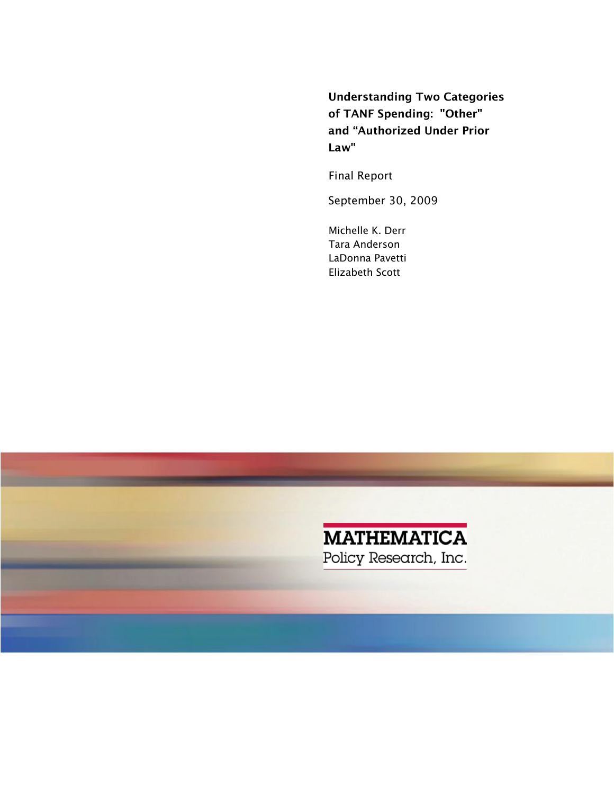Understanding Two Categories of TANF Spending: "Other" and "Authorized Under Prior Law"

Final Report

September 30, 2009

Michelle K. Derr Tara Anderson LaDonna Pavetti Elizabeth Scott

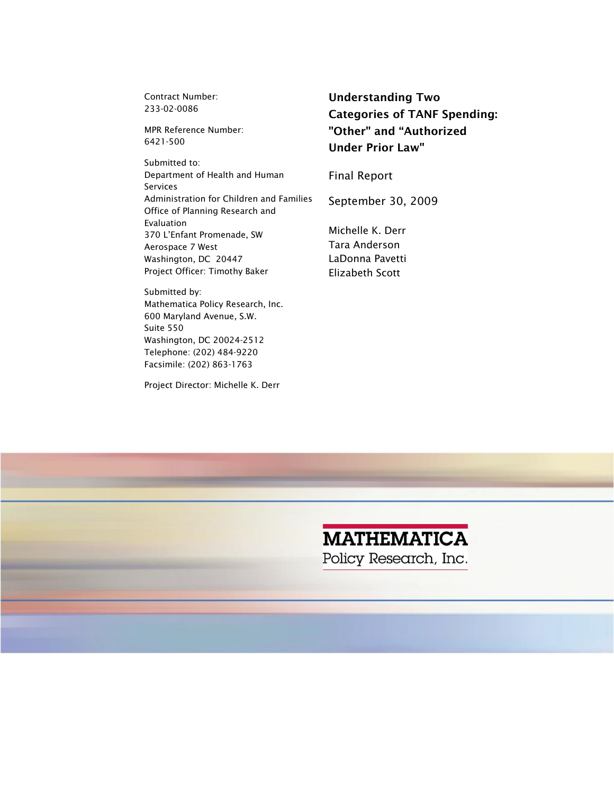Contract Number: 233-02-0086

MPR Reference Number: 6421-500

 Aerospace 7 West Submitted to: Department of Health and Human Services Administration for Children and Families Office of Planning Research and Evaluation 370 L'Enfant Promenade, SW Washington, DC 20447 Project Officer: Timothy Baker

 Telephone: (202) 484-9220 Submitted by: Mathematica Policy Research, Inc. 600 Maryland Avenue, S.W. Suite 550 Washington, DC 20024-2512 Facsimile: (202) 863-1763

Project Director: Michelle K. Derr

Categories of TANF Spending:<br>"Other" and "Authorized Understanding Two Under Prior Law"

Final Report

September 30, 2009

Michelle K. Derr Tara Anderson LaDonna Pavetti Elizabeth Scott

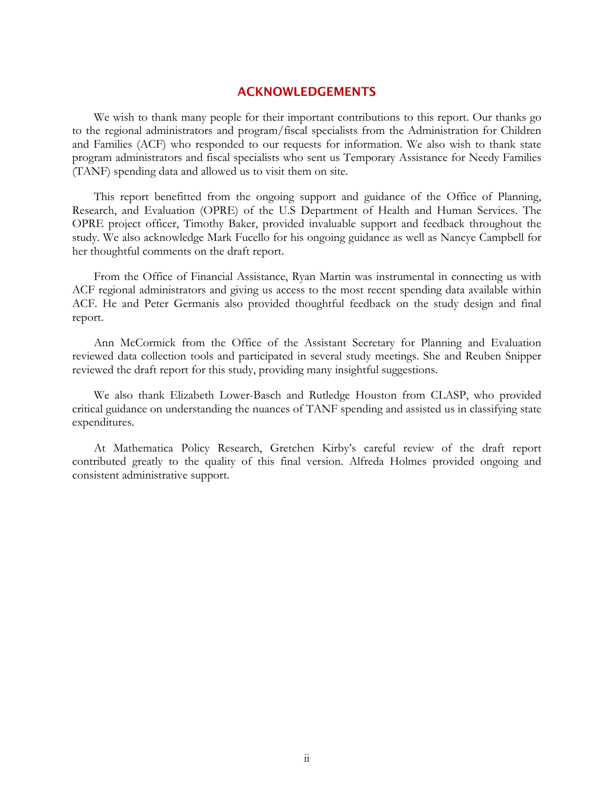#### ACKNOWLEDGEMENTS

We wish to thank many people for their important contributions to this report. Our thanks go to the regional administrators and program/fiscal specialists from the Administration for Children and Families (ACF) who responded to our requests for information. We also wish to thank state program administrators and fiscal specialists who sent us Temporary Assistance for Needy Families (TANF) spending data and allowed us to visit them on site.

This report benefitted from the ongoing support and guidance of the Office of Planning, Research, and Evaluation (OPRE) of the U.S Department of Health and Human Services. The OPRE project officer, Timothy Baker, provided invaluable support and feedback throughout the study. We also acknowledge Mark Fucello for his ongoing guidance as well as Nancye Campbell for her thoughtful comments on the draft report.

From the Office of Financial Assistance, Ryan Martin was instrumental in connecting us with ACF regional administrators and giving us access to the most recent spending data available within ACF. He and Peter Germanis also provided thoughtful feedback on the study design and final report.

Ann McCormick from the Office of the Assistant Secretary for Planning and Evaluation reviewed data collection tools and participated in several study meetings. She and Reuben Snipper reviewed the draft report for this study, providing many insightful suggestions.

We also thank Elizabeth Lower-Basch and Rutledge Houston from CLASP, who provided critical guidance on understanding the nuances of TANF spending and assisted us in classifying state expenditures.

At Mathematica Policy Research, Gretchen Kirby's careful review of the draft report contributed greatly to the quality of this final version. Alfreda Holmes provided ongoing and consistent administrative support.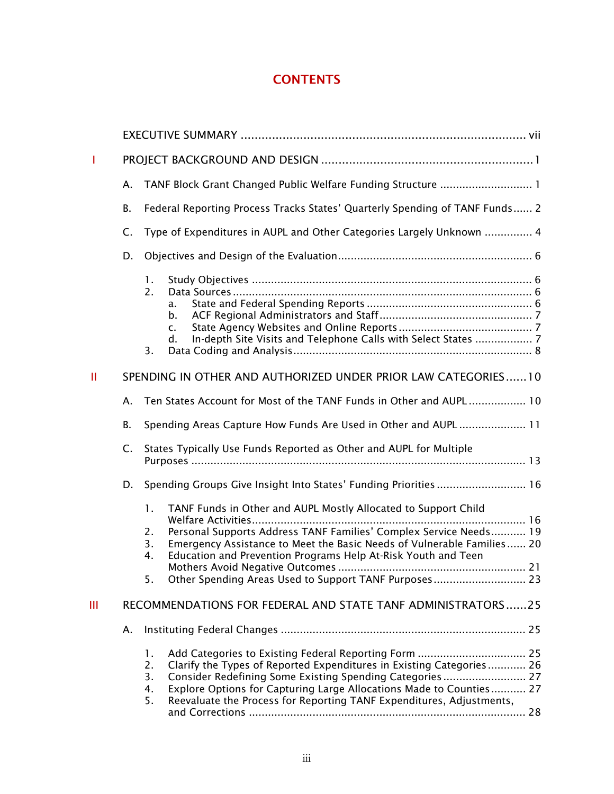# **CONTENTS**

| т |           |                                                                                                                                                                                                                                                                                                                                                                                                   |  |
|---|-----------|---------------------------------------------------------------------------------------------------------------------------------------------------------------------------------------------------------------------------------------------------------------------------------------------------------------------------------------------------------------------------------------------------|--|
|   | Α.        | TANF Block Grant Changed Public Welfare Funding Structure  1                                                                                                                                                                                                                                                                                                                                      |  |
|   | <b>B.</b> | Federal Reporting Process Tracks States' Quarterly Spending of TANF Funds 2                                                                                                                                                                                                                                                                                                                       |  |
|   | C.        | Type of Expenditures in AUPL and Other Categories Largely Unknown  4                                                                                                                                                                                                                                                                                                                              |  |
|   | D.        |                                                                                                                                                                                                                                                                                                                                                                                                   |  |
|   |           | 1.<br>2.<br>a.<br>$b_{\cdot}$<br>$\mathsf{C}$ .<br>In-depth Site Visits and Telephone Calls with Select States  7<br>d.<br>3.                                                                                                                                                                                                                                                                     |  |
| Ш |           | SPENDING IN OTHER AND AUTHORIZED UNDER PRIOR LAW CATEGORIES10                                                                                                                                                                                                                                                                                                                                     |  |
|   | Α.        | Ten States Account for Most of the TANF Funds in Other and AUPL 10                                                                                                                                                                                                                                                                                                                                |  |
|   | <b>B.</b> | Spending Areas Capture How Funds Are Used in Other and AUPL 11                                                                                                                                                                                                                                                                                                                                    |  |
|   | C.        | States Typically Use Funds Reported as Other and AUPL for Multiple                                                                                                                                                                                                                                                                                                                                |  |
|   | D.        | Spending Groups Give Insight Into States' Funding Priorities  16                                                                                                                                                                                                                                                                                                                                  |  |
|   |           | TANF Funds in Other and AUPL Mostly Allocated to Support Child<br>1.<br>Welfare Activities<br>16<br>Personal Supports Address TANF Families' Complex Service Needs 19<br>2.<br>Emergency Assistance to Meet the Basic Needs of Vulnerable Families 20<br>3.<br>Education and Prevention Programs Help At-Risk Youth and Teen<br>4.<br>Other Spending Areas Used to Support TANF Purposes 23<br>5. |  |
| Ш |           | RECOMMENDATIONS FOR FEDERAL AND STATE TANF ADMINISTRATORS25                                                                                                                                                                                                                                                                                                                                       |  |
|   | А.        |                                                                                                                                                                                                                                                                                                                                                                                                   |  |
|   |           | 1.<br>Clarify the Types of Reported Expenditures in Existing Categories 26<br>2.<br>3.<br>Consider Redefining Some Existing Spending Categories 27<br>Explore Options for Capturing Large Allocations Made to Counties 27<br>4.<br>Reevaluate the Process for Reporting TANF Expenditures, Adjustments,<br>5.                                                                                     |  |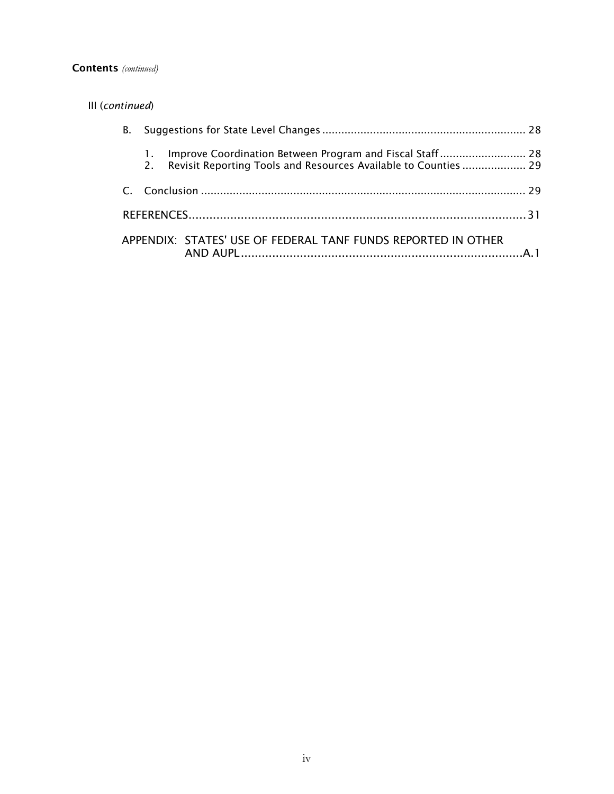#### Contents *(continued)*

| III (continued) |         |                                                                 |  |
|-----------------|---------|-----------------------------------------------------------------|--|
| В.              |         |                                                                 |  |
|                 | $2^{+}$ | Revisit Reporting Tools and Resources Available to Counties  29 |  |
|                 |         |                                                                 |  |
|                 |         |                                                                 |  |
|                 |         | APPENDIX: STATES' USE OF FEDERAL TANF FUNDS REPORTED IN OTHER   |  |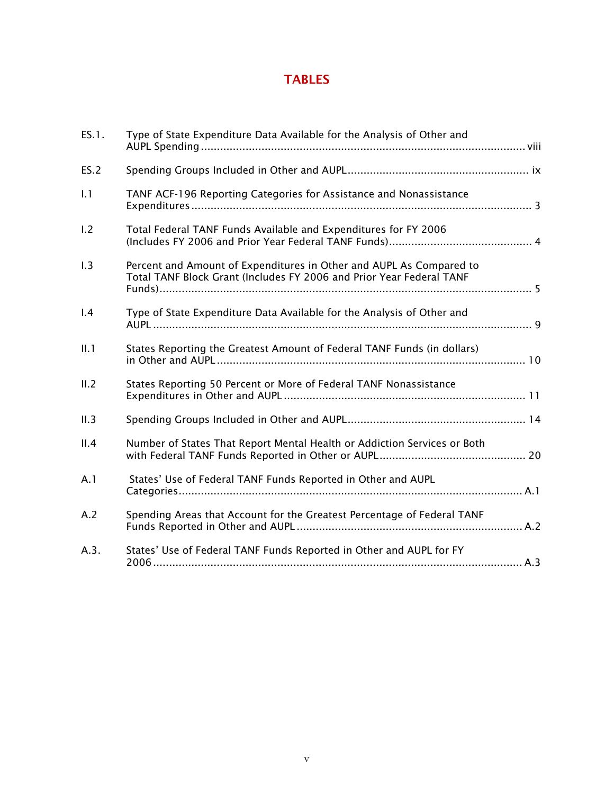# TABLES

| ES.1. | Type of State Expenditure Data Available for the Analysis of Other and                                                                      |  |
|-------|---------------------------------------------------------------------------------------------------------------------------------------------|--|
| ES.2  |                                                                                                                                             |  |
| 1.1   | TANF ACF-196 Reporting Categories for Assistance and Nonassistance                                                                          |  |
| 1.2   | Total Federal TANF Funds Available and Expenditures for FY 2006                                                                             |  |
| 1.3   | Percent and Amount of Expenditures in Other and AUPL As Compared to<br>Total TANF Block Grant (Includes FY 2006 and Prior Year Federal TANF |  |
| 1.4   | Type of State Expenditure Data Available for the Analysis of Other and                                                                      |  |
| II.1  | States Reporting the Greatest Amount of Federal TANF Funds (in dollars)                                                                     |  |
| II.2  | States Reporting 50 Percent or More of Federal TANF Nonassistance                                                                           |  |
| II.3  |                                                                                                                                             |  |
| II.4  | Number of States That Report Mental Health or Addiction Services or Both                                                                    |  |
| A.1   | States' Use of Federal TANF Funds Reported in Other and AUPL                                                                                |  |
| A.2   | Spending Areas that Account for the Greatest Percentage of Federal TANF                                                                     |  |
| A.3.  | States' Use of Federal TANF Funds Reported in Other and AUPL for FY                                                                         |  |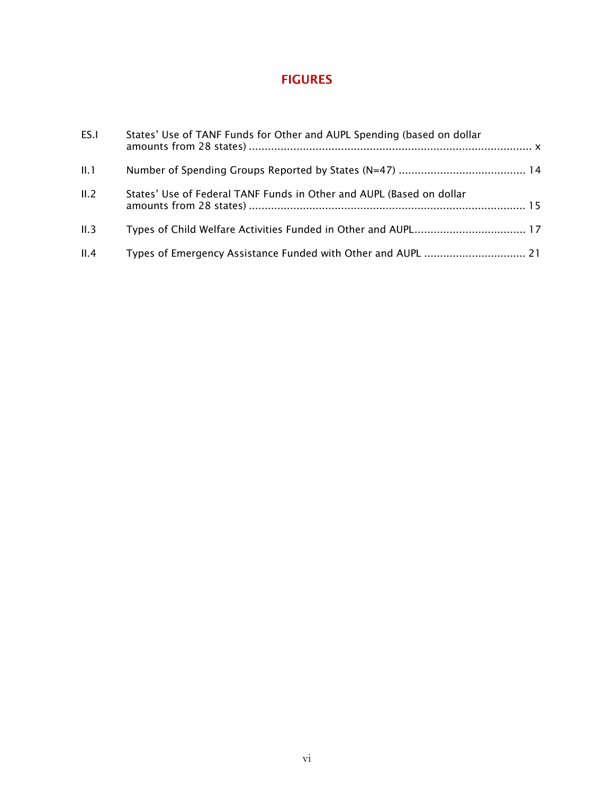# FIGURES

| ES.I | States' Use of TANF Funds for Other and AUPL Spending (based on dollar |  |
|------|------------------------------------------------------------------------|--|
| II.1 |                                                                        |  |
| II.2 | States' Use of Federal TANF Funds in Other and AUPL (Based on dollar   |  |
| II.3 |                                                                        |  |
| II.4 |                                                                        |  |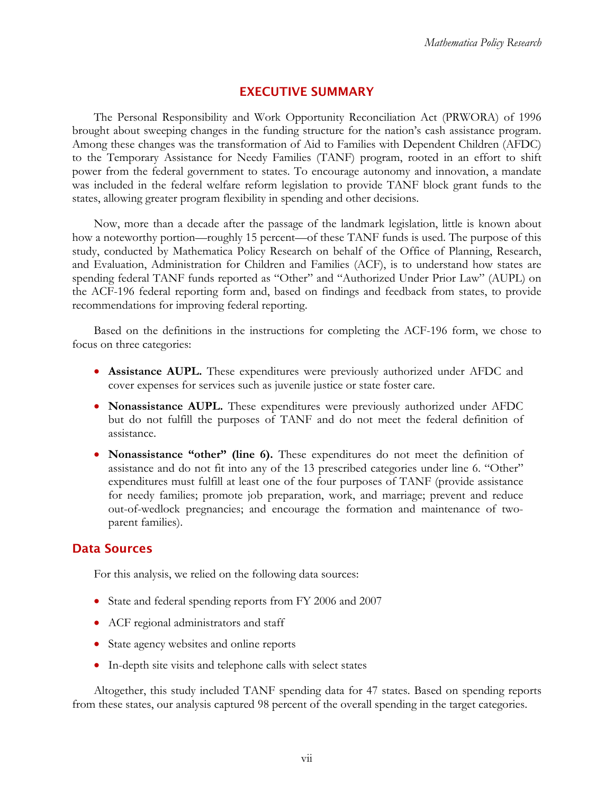## EXECUTIVE SUMMARY

<span id="page-7-0"></span>The Personal Responsibility and Work Opportunity Reconciliation Act (PRWORA) of 1996 brought about sweeping changes in the funding structure for the nation's cash assistance program. Among these changes was the transformation of Aid to Families with Dependent Children (AFDC) to the Temporary Assistance for Needy Families (TANF) program, rooted in an effort to shift power from the federal government to states. To encourage autonomy and innovation, a mandate was included in the federal welfare reform legislation to provide TANF block grant funds to the states, allowing greater program flexibility in spending and other decisions.

Now, more than a decade after the passage of the landmark legislation, little is known about how a noteworthy portion—roughly 15 percent—of these TANF funds is used. The purpose of this study, conducted by Mathematica Policy Research on behalf of the Office of Planning, Research, and Evaluation, Administration for Children and Families (ACF), is to understand how states are spending federal TANF funds reported as "Other" and "Authorized Under Prior Law" (AUPL) on the ACF-196 federal reporting form and, based on findings and feedback from states, to provide recommendations for improving federal reporting.

Based on the definitions in the instructions for completing the ACF-196 form, we chose to focus on three categories:

- **Assistance AUPL.** These expenditures were previously authorized under AFDC and cover expenses for services such as juvenile justice or state foster care.
- **Nonassistance AUPL.** These expenditures were previously authorized under AFDC but do not fulfill the purposes of TANF and do not meet the federal definition of assistance.
- **Nonassistance "other" (line 6).** These expenditures do not meet the definition of assistance and do not fit into any of the 13 prescribed categories under line 6. "Other" expenditures must fulfill at least one of the four purposes of TANF (provide assistance for needy families; promote job preparation, work, and marriage; prevent and reduce out-of-wedlock pregnancies; and encourage the formation and maintenance of twoparent families).

# Data Sources

For this analysis, we relied on the following data sources:

- State and federal spending reports from FY 2006 and 2007
- ACF regional administrators and staff
- State agency websites and online reports
- In-depth site visits and telephone calls with select states

Altogether, this study included TANF spending data for 47 states. Based on spending reports from these states, our analysis captured 98 percent of the overall spending in the target categories.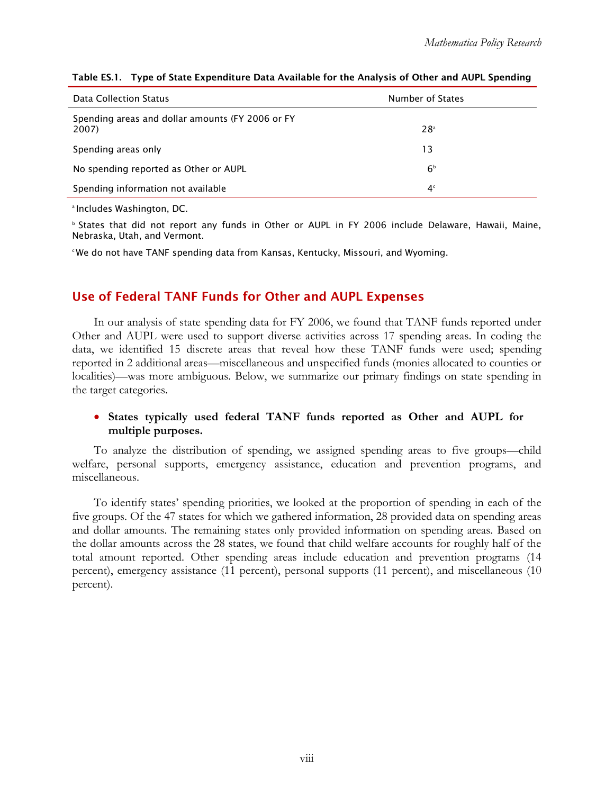| Data Collection Status                                    | Number of States |  |
|-----------------------------------------------------------|------------------|--|
| Spending areas and dollar amounts (FY 2006 or FY<br>2007) | 28 <sup>a</sup>  |  |
| Spending areas only                                       | 13               |  |
| No spending reported as Other or AUPL                     | 6 <sup>b</sup>   |  |
| Spending information not available                        | 4 <sup>c</sup>   |  |

#### <span id="page-8-0"></span>Table ES.1. Type of State Expenditure Data Available for the Analysis of Other and AUPL Spending

<sup>a</sup> Includes Washington, DC.

Nebraska, Utah, and Vermont. Nebraska, Utah, and Vermont.<br>ʿWe do not have TANF spending data from Kansas, Kentucky, Missouri, and Wyoming. **b States that did not report any funds in Other or AUPL in FY 2006 include Delaware, Hawaii, Maine,** 

### Use of Federal TANF Funds for Other and AUPL Expenses

In our analysis of state spending data for FY 2006, we found that TANF funds reported under Other and AUPL were used to support diverse activities across 17 spending areas. In coding the data, we identified 15 discrete areas that reveal how these TANF funds were used; spending reported in 2 additional areas—miscellaneous and unspecified funds (monies allocated to counties or localities)—was more ambiguous. Below, we summarize our primary findings on state spending in the target categories.

### • **States typically used federal TANF funds reported as Other and AUPL for multiple purposes.**

To analyze the distribution of spending, we assigned spending areas to five groups—child welfare, personal supports, emergency assistance, education and prevention programs, and miscellaneous.

To identify states' spending priorities, we looked at the proportion of spending in each of the five groups. Of the 47 states for which we gathered information, 28 provided data on spending areas and dollar amounts. The remaining states only provided information on spending areas. Based on the dollar amounts across the 28 states, we found that child welfare accounts for roughly half of the total amount reported. Other spending areas include education and prevention programs (14 percent), emergency assistance (11 percent), personal supports (11 percent), and miscellaneous (10 percent).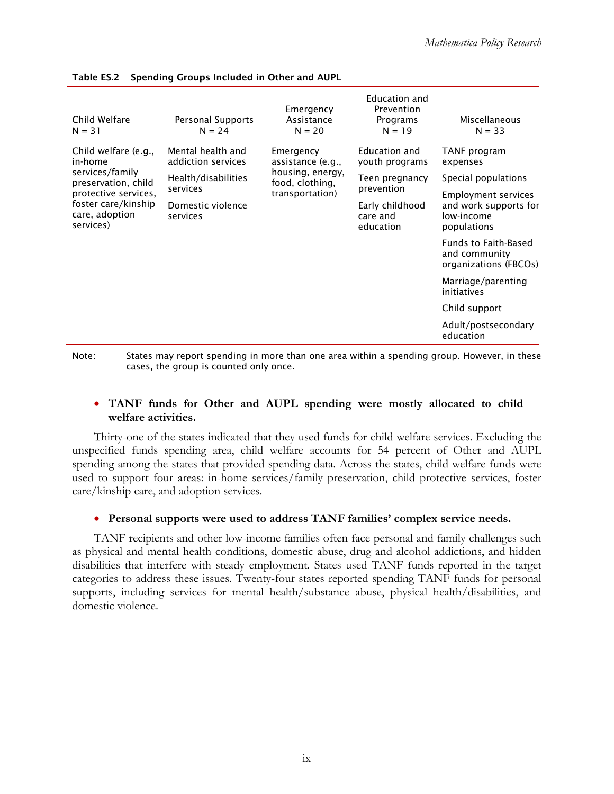| Child Welfare<br>$N = 31$                          | Personal Supports<br>$N = 24$                                              | Emergency<br>Assistance<br>$N = 20$ | Education and<br>Prevention<br>Programs<br>$N = 19$ | Miscellaneous<br>$N = 33$                                             |
|----------------------------------------------------|----------------------------------------------------------------------------|-------------------------------------|-----------------------------------------------------|-----------------------------------------------------------------------|
| Child welfare (e.g.,<br>in-home                    | Mental health and<br>addiction services<br>Health/disabilities<br>services | Emergency<br>assistance (e.g.,      | Education and<br>youth programs                     | TANF program<br>expenses                                              |
| services/family<br>preservation, child             |                                                                            | housing, energy,<br>food, clothing, | Teen pregnancy<br>prevention                        | Special populations                                                   |
| protective services.                               |                                                                            | transportation)                     |                                                     | Employment services                                                   |
| foster care/kinship<br>care, adoption<br>services) | Domestic violence<br>services                                              |                                     | Early childhood<br>care and<br>education            | and work supports for<br>low-income<br>populations                    |
|                                                    |                                                                            |                                     |                                                     | <b>Funds to Faith-Based</b><br>and community<br>organizations (FBCOs) |
|                                                    |                                                                            |                                     |                                                     | Marriage/parenting<br>initiatives                                     |
|                                                    |                                                                            |                                     |                                                     | Child support                                                         |
|                                                    |                                                                            |                                     |                                                     | Adult/postsecondary<br>education                                      |

#### Table ES.2 Spending Groups Included in Other and AUPL

 Note: States may report spending in more than one area within a spending group. However, in these cases, the group is counted only once.

### • **TANF** funds for Other and AUPL spending were mostly allocated to child **welfare activities.**

Thirty-one of the states indicated that they used funds for child welfare services. Excluding the unspecified funds spending area, child welfare accounts for 54 percent of Other and AUPL spending among the states that provided spending data. Across the states, child welfare funds were used to support four areas: in-home services/family preservation, child protective services, foster care/kinship care, and adoption services.

#### • Personal supports were used to address TANF families' complex service needs.

TANF recipients and other low-income families often face personal and family challenges such as physical and mental health conditions, domestic abuse, drug and alcohol addictions, and hidden disabilities that interfere with steady employment. States used TANF funds reported in the target categories to address these issues. Twenty-four states reported spending TANF funds for personal supports, including services for mental health/substance abuse, physical health/disabilities, and domestic violence.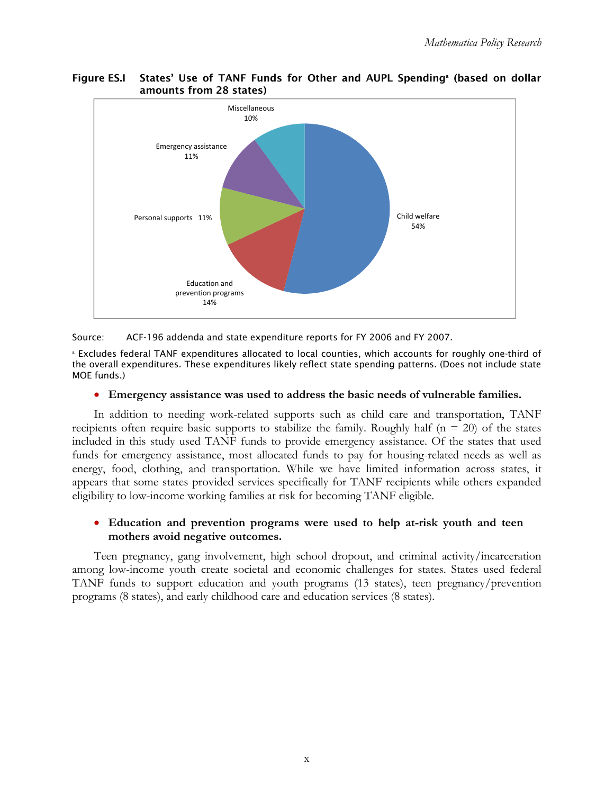#### <span id="page-10-0"></span>**Figure ES.I** Figure ES.I States' Use of TANF Funds for Other and AUPL Spending<sup>a</sup> (based on dollar amounts from 28 states)



Source: ACF-196 addenda and state expenditure reports for FY 2006 and FY 2007.

 the overall expenditures. These expenditures likely reflect state spending patterns. (Does not include state MOE funds.) a Excludes federal TANF expenditures allocated to local counties, which accounts for roughly one-third of

### • **Emergency assistance was used to address the basic needs of vulnerable families.**

In addition to needing work-related supports such as child care and transportation, TANF recipients often require basic supports to stabilize the family. Roughly half ( $n = 20$ ) of the states included in this study used TANF funds to provide emergency assistance. Of the states that used funds for emergency assistance, most allocated funds to pay for housing-related needs as well as energy, food, clothing, and transportation. While we have limited information across states, it appears that some states provided services specifically for TANF recipients while others expanded eligibility to low-income working families at risk for becoming TANF eligible.

### • **Education and prevention programs were used to help at-risk youth and teen mothers avoid negative outcomes.**

Teen pregnancy, gang involvement, high school dropout, and criminal activity/incarceration among low-income youth create societal and economic challenges for states. States used federal TANF funds to support education and youth programs (13 states), teen pregnancy/prevention programs (8 states), and early childhood care and education services (8 states).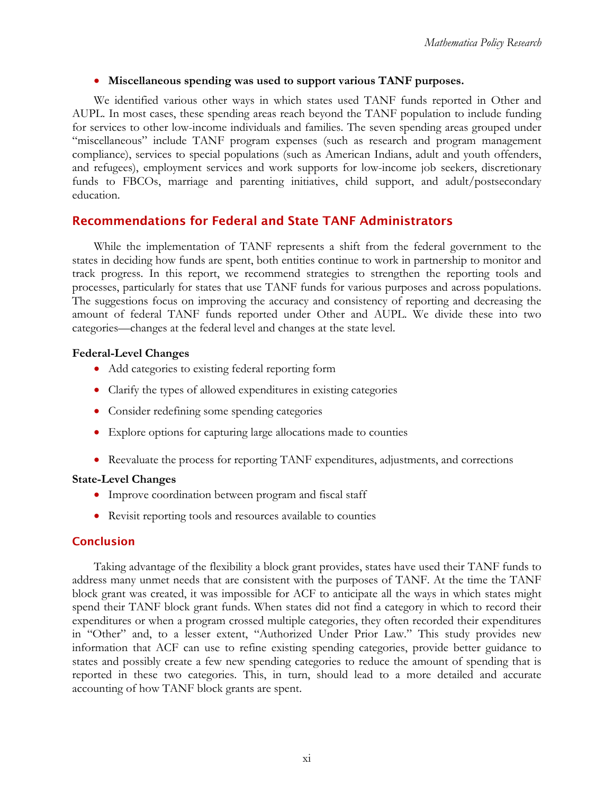### • **Miscellaneous spending was used to support various TANF purposes.**

We identified various other ways in which states used TANF funds reported in Other and AUPL. In most cases, these spending areas reach beyond the TANF population to include funding for services to other low-income individuals and families. The seven spending areas grouped under "miscellaneous" include TANF program expenses (such as research and program management compliance), services to special populations (such as American Indians, adult and youth offenders, and refugees), employment services and work supports for low-income job seekers, discretionary funds to FBCOs, marriage and parenting initiatives, child support, and adult/postsecondary education.

## Recommendations for Federal and State TANF Administrators

While the implementation of TANF represents a shift from the federal government to the states in deciding how funds are spent, both entities continue to work in partnership to monitor and track progress. In this report, we recommend strategies to strengthen the reporting tools and processes, particularly for states that use TANF funds for various purposes and across populations. The suggestions focus on improving the accuracy and consistency of reporting and decreasing the amount of federal TANF funds reported under Other and AUPL. We divide these into two categories—changes at the federal level and changes at the state level.

### **Federal-Level Changes**

- Add categories to existing federal reporting form
- Clarify the types of allowed expenditures in existing categories
- Consider redefining some spending categories
- Explore options for capturing large allocations made to counties
- Reevaluate the process for reporting TANF expenditures, adjustments, and corrections

### **State-Level Changes**

- Improve coordination between program and fiscal staff
- Revisit reporting tools and resources available to counties

### **Conclusion**

Taking advantage of the flexibility a block grant provides, states have used their TANF funds to address many unmet needs that are consistent with the purposes of TANF. At the time the TANF block grant was created, it was impossible for ACF to anticipate all the ways in which states might spend their TANF block grant funds. When states did not find a category in which to record their expenditures or when a program crossed multiple categories, they often recorded their expenditures in "Other" and, to a lesser extent, "Authorized Under Prior Law." This study provides new information that ACF can use to refine existing spending categories, provide better guidance to states and possibly create a few new spending categories to reduce the amount of spending that is reported in these two categories. This, in turn, should lead to a more detailed and accurate accounting of how TANF block grants are spent.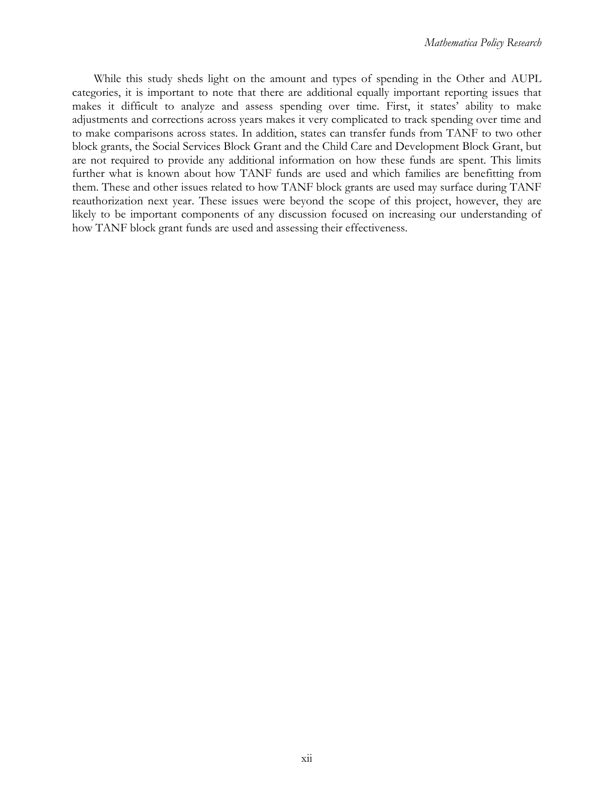While this study sheds light on the amount and types of spending in the Other and AUPL categories, it is important to note that there are additional equally important reporting issues that makes it difficult to analyze and assess spending over time. First, it states' ability to make adjustments and corrections across years makes it very complicated to track spending over time and to make comparisons across states. In addition, states can transfer funds from TANF to two other block grants, the Social Services Block Grant and the Child Care and Development Block Grant, but are not required to provide any additional information on how these funds are spent. This limits further what is known about how TANF funds are used and which families are benefitting from them. These and other issues related to how TANF block grants are used may surface during TANF reauthorization next year. These issues were beyond the scope of this project, however, they are likely to be important components of any discussion focused on increasing our understanding of how TANF block grant funds are used and assessing their effectiveness.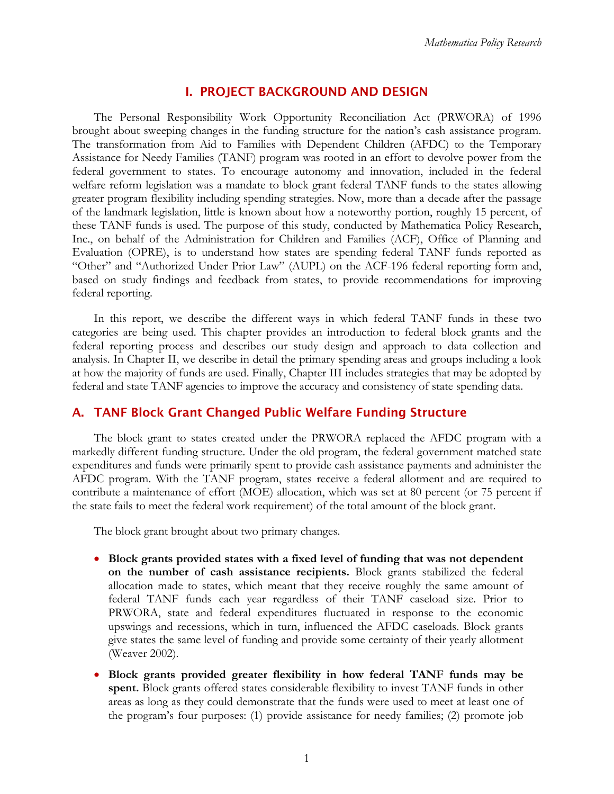### I. PROJECT BACKGROUND AND DESIGN

<span id="page-13-0"></span>The Personal Responsibility Work Opportunity Reconciliation Act (PRWORA) of 1996 brought about sweeping changes in the funding structure for the nation's cash assistance program. The transformation from Aid to Families with Dependent Children (AFDC) to the Temporary Assistance for Needy Families (TANF) program was rooted in an effort to devolve power from the federal government to states. To encourage autonomy and innovation, included in the federal welfare reform legislation was a mandate to block grant federal TANF funds to the states allowing greater program flexibility including spending strategies. Now, more than a decade after the passage of the landmark legislation, little is known about how a noteworthy portion, roughly 15 percent, of these TANF funds is used. The purpose of this study, conducted by Mathematica Policy Research, Inc., on behalf of the Administration for Children and Families (ACF), Office of Planning and Evaluation (OPRE), is to understand how states are spending federal TANF funds reported as "Other" and "Authorized Under Prior Law" (AUPL) on the ACF-196 federal reporting form and, based on study findings and feedback from states, to provide recommendations for improving federal reporting.

In this report, we describe the different ways in which federal TANF funds in these two categories are being used. This chapter provides an introduction to federal block grants and the federal reporting process and describes our study design and approach to data collection and analysis. In Chapter II, we describe in detail the primary spending areas and groups including a look at how the majority of funds are used. Finally, Chapter III includes strategies that may be adopted by federal and state TANF agencies to improve the accuracy and consistency of state spending data.

### A. TANF Block Grant Changed Public Welfare Funding Structure

The block grant to states created under the PRWORA replaced the AFDC program with a markedly different funding structure. Under the old program, the federal government matched state expenditures and funds were primarily spent to provide cash assistance payments and administer the AFDC program. With the TANF program, states receive a federal allotment and are required to contribute a maintenance of effort (MOE) allocation, which was set at 80 percent (or 75 percent if the state fails to meet the federal work requirement) of the total amount of the block grant.

The block grant brought about two primary changes.

- Block grants provided states with a fixed level of funding that was not dependent **on the number of cash assistance recipients.** Block grants stabilized the federal allocation made to states, which meant that they receive roughly the same amount of federal TANF funds each year regardless of their TANF caseload size. Prior to PRWORA, state and federal expenditures fluctuated in response to the economic upswings and recessions, which in turn, influenced the AFDC caseloads. Block grants give states the same level of funding and provide some certainty of their yearly allotment (Weaver 2002).
- • **Block grants provided greater flexibility in how federal TANF funds may be spent.** Block grants offered states considerable flexibility to invest TANF funds in other areas as long as they could demonstrate that the funds were used to meet at least one of the program's four purposes: (1) provide assistance for needy families; (2) promote job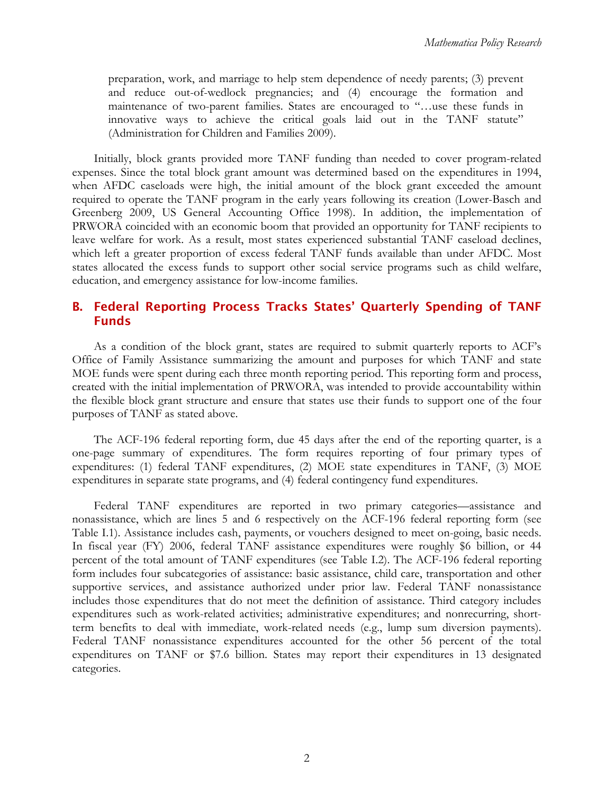<span id="page-14-0"></span>preparation, work, and marriage to help stem dependence of needy parents; (3) prevent and reduce out-of-wedlock pregnancies; and (4) encourage the formation and maintenance of two-parent families. States are encouraged to "…use these funds in innovative ways to achieve the critical goals laid out in the TANF statute" (Administration for Children and Families 2009).

Initially, block grants provided more TANF funding than needed to cover program-related expenses. Since the total block grant amount was determined based on the expenditures in 1994, when AFDC caseloads were high, the initial amount of the block grant exceeded the amount required to operate the TANF program in the early years following its creation (Lower-Basch and Greenberg 2009, US General Accounting Office 1998). In addition, the implementation of PRWORA coincided with an economic boom that provided an opportunity for TANF recipients to leave welfare for work. As a result, most states experienced substantial TANF caseload declines, which left a greater proportion of excess federal TANF funds available than under AFDC. Most states allocated the excess funds to support other social service programs such as child welfare, education, and emergency assistance for low-income families.

### B. Federal Reporting Process Tracks States' Quarterly Spending of TANF Funds

As a condition of the block grant, states are required to submit quarterly reports to ACF's Office of Family Assistance summarizing the amount and purposes for which TANF and state MOE funds were spent during each three month reporting period. This reporting form and process, created with the initial implementation of PRWORA, was intended to provide accountability within the flexible block grant structure and ensure that states use their funds to support one of the four purposes of TANF as stated above.

The ACF-196 federal reporting form, due 45 days after the end of the reporting quarter, is a one-page summary of expenditures. The form requires reporting of four primary types of expenditures: (1) federal TANF expenditures, (2) MOE state expenditures in TANF, (3) MOE expenditures in separate state programs, and (4) federal contingency fund expenditures.

Federal TANF expenditures are reported in two primary categories—assistance and nonassistance, which are lines 5 and 6 respectively on the ACF-196 federal reporting form (see Table I.1). Assistance includes cash, payments, or vouchers designed to meet on-going, basic needs. In fiscal year (FY) 2006, federal TANF assistance expenditures were roughly \$6 billion, or 44 percent of the total amount of TANF expenditures (see Table I.2). The ACF-196 federal reporting form includes four subcategories of assistance: basic assistance, child care, transportation and other supportive services, and assistance authorized under prior law. Federal TANF nonassistance includes those expenditures that do not meet the definition of assistance. Third category includes expenditures such as work-related activities; administrative expenditures; and nonrecurring, shortterm benefits to deal with immediate, work-related needs (e.g., lump sum diversion payments). Federal TANF nonassistance expenditures accounted for the other 56 percent of the total expenditures on TANF or \$7.6 billion. States may report their expenditures in 13 designated categories.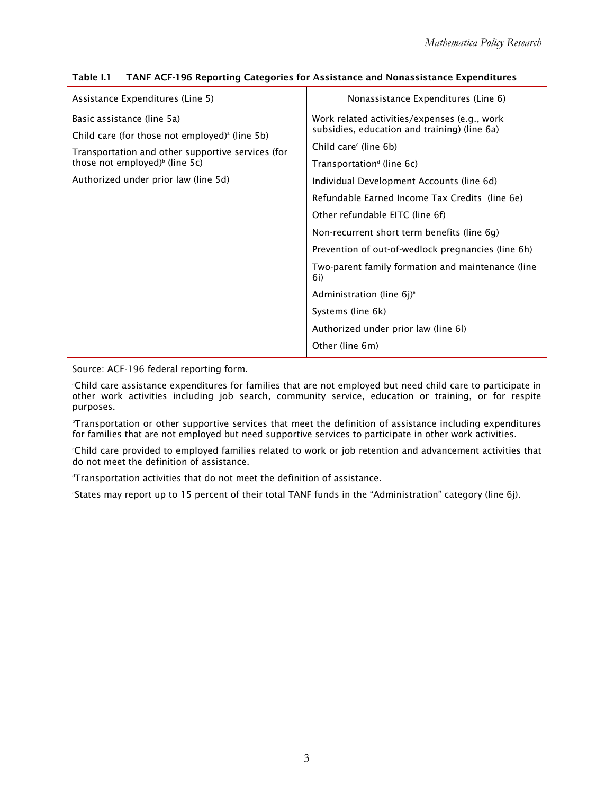| Assistance Expenditures (Line 5)                                                                                | Nonassistance Expenditures (Line 6)                                                          |  |  |
|-----------------------------------------------------------------------------------------------------------------|----------------------------------------------------------------------------------------------|--|--|
| Basic assistance (line 5a)                                                                                      | Work related activities/expenses (e.g., work<br>subsidies, education and training) (line 6a) |  |  |
| Child care (for those not employed) <sup>a</sup> (line 5b)<br>Transportation and other supportive services (for | Child care <sup>c</sup> (line 6b)                                                            |  |  |
| those not employed) $\frac{1}{2}$ (line 5c)                                                                     | Transportation <sup>d</sup> (line $6c$ )                                                     |  |  |
| Authorized under prior law (line 5d)                                                                            | Individual Development Accounts (line 6d)                                                    |  |  |
|                                                                                                                 | Refundable Earned Income Tax Credits (line 6e)                                               |  |  |
|                                                                                                                 | Other refundable EITC (line 6f)                                                              |  |  |
|                                                                                                                 | Non-recurrent short term benefits (line 6g)                                                  |  |  |
|                                                                                                                 | Prevention of out-of-wedlock pregnancies (line 6h)                                           |  |  |
|                                                                                                                 | Two-parent family formation and maintenance (line<br>6i)                                     |  |  |
|                                                                                                                 | Administration (line $6j$ ) <sup>e</sup>                                                     |  |  |
|                                                                                                                 | Systems (line 6k)                                                                            |  |  |
|                                                                                                                 | Authorized under prior law (line 6l)                                                         |  |  |
|                                                                                                                 | Other (line 6m)                                                                              |  |  |

#### <span id="page-15-0"></span>Table I.1 TANF ACF-196 Reporting Categories for Assistance and Nonassistance Expenditures

Source: ACF-196 federal reporting form.

 a Child care assistance expenditures for families that are not employed but need child care to participate in other work activities including job search, community service, education or training, or for respite purposes.

 for families that are not employed but need supportive services to participate in other work activities. b Transportation or other supportive services that meet the definition of assistance including expenditures

c Child care provided to employed families related to work or job retention and advancement activities that do not meet the definition of assistance.

Transportation activities that do not meet the definition of assistance.<br>"States may report up to 15 norcont of their total TANE funds in the "Ad

States may report up to 15 percent of their total TANF funds in the "Administration" category (line 6j).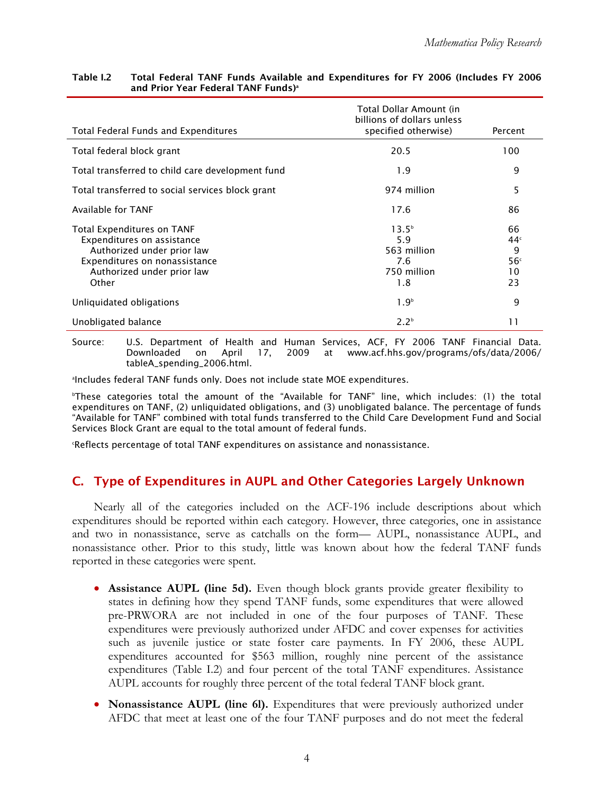|                                                                                                                                                                | Total Dollar Amount (in<br>billions of dollars unless         |                                                           |
|----------------------------------------------------------------------------------------------------------------------------------------------------------------|---------------------------------------------------------------|-----------------------------------------------------------|
| Total Federal Funds and Expenditures                                                                                                                           | specified otherwise)                                          | Percent                                                   |
| Total federal block grant                                                                                                                                      | 20.5                                                          | 100                                                       |
| Total transferred to child care development fund                                                                                                               | 1.9                                                           | 9                                                         |
| Total transferred to social services block grant                                                                                                               | 974 million                                                   | 5                                                         |
| Available for TANF                                                                                                                                             | 17.6                                                          | 86                                                        |
| Total Expenditures on TANF<br>Expenditures on assistance<br>Authorized under prior law<br>Expenditures on nonassistance<br>Authorized under prior law<br>Other | $13.5^{b}$<br>5.9<br>563 million<br>7.6<br>750 million<br>1.8 | 66<br>44 <sup>c</sup><br>9<br>56 <sup>c</sup><br>10<br>23 |
| Unliquidated obligations                                                                                                                                       | 1.9 <sup>b</sup>                                              | 9                                                         |
| Unobligated balance                                                                                                                                            | 2.2 <sup>b</sup>                                              | 11                                                        |

#### <span id="page-16-0"></span>Table I.2 Total Federal TANF Funds Available and Expenditures for FY 2006 (Includes FY 2006 and Prior Year Federal TANF Funds)<sup>a</sup>

Source: U.S. Department of Health and Human Services, ACF, FY 2006 TANF Financial Data. Downloaded on April 17, 2009 at www.acf.hhs.gov/programs/ofs/data/2006/ tableA\_spending\_2006.html.

a Includes federal TANF funds only. Does not include state MOE expenditures.

 b These categories total the amount of the "Available for TANF" line, which includes: (1) the total "Available for TANF" combined with total funds transferred to the Child Care Development Fund and Social Services Block Grant are equal to the total amount of federal funds. expenditures on TANF, (2) unliquidated obligations, and (3) unobligated balance. The percentage of funds

c Reflects percentage of total TANF expenditures on assistance and nonassistance.

## C. Type of Expenditures in AUPL and Other Categories Largely Unknown

Nearly all of the categories included on the ACF-196 include descriptions about which expenditures should be reported within each category. However, three categories, one in assistance and two in nonassistance, serve as catchalls on the form— AUPL, nonassistance AUPL, and nonassistance other. Prior to this study, little was known about how the federal TANF funds reported in these categories were spent.

- **Assistance AUPL (line 5d).** Even though block grants provide greater flexibility to states in defining how they spend TANF funds, some expenditures that were allowed pre-PRWORA are not included in one of the four purposes of TANF. These expenditures were previously authorized under AFDC and cover expenses for activities such as juvenile justice or state foster care payments. In FY 2006, these AUPL expenditures accounted for \$563 million, roughly nine percent of the assistance expenditures (Table I.2) and four percent of the total TANF expenditures. Assistance AUPL accounts for roughly three percent of the total federal TANF block grant.
- **Nonassistance AUPL (line 6l).** Expenditures that were previously authorized under AFDC that meet at least one of the four TANF purposes and do not meet the federal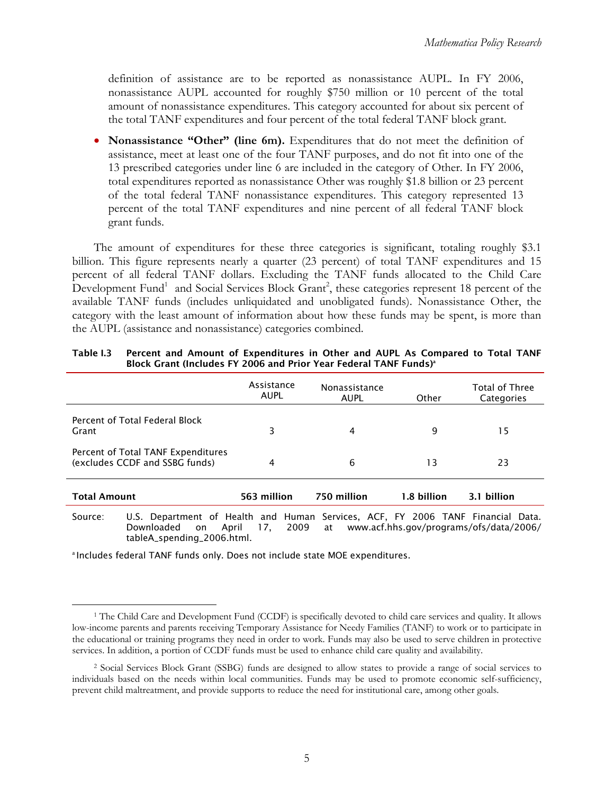definition of assistance are to be reported as nonassistance AUPL. In FY 2006, nonassistance AUPL accounted for roughly \$750 million or 10 percent of the total amount of nonassistance expenditures. This category accounted for about six percent of the total TANF expenditures and four percent of the total federal TANF block grant.

• **Nonassistance "Other" (line 6m).** Expenditures that do not meet the definition of assistance, meet at least one of the four TANF purposes, and do not fit into one of the 13 prescribed categories under line 6 are included in the category of Other. In FY 2006, total expenditures reported as nonassistance Other was roughly \$1.8 billion or 23 percent of the total federal TANF nonassistance expenditures. This category represented 13 percent of the total TANF expenditures and nine percent of all federal TANF block grant funds.

The amount of expenditures for these three categories is significant, totaling roughly \$3.1 billion. This figure represents nearly a quarter (23 percent) of total TANF expenditures and 15 percent of all federal TANF dollars. Excluding the TANF funds allocated to the Child Care Development Fund<sup>1</sup> and Social Services Block Grant<sup>2</sup>, these categories represent 18 percent of the available TANF funds (includes unliquidated and unobligated funds). Nonassistance Other, the category with the least amount of information about how these funds may be spent, is more than the AUPL (assistance and nonassistance) categories combined.

|                                                                      | Assistance<br><b>AUPL</b> | Nonassistance<br><b>AUPL</b> | <b>Other</b> | <b>Total of Three</b><br>Categories |
|----------------------------------------------------------------------|---------------------------|------------------------------|--------------|-------------------------------------|
| Percent of Total Federal Block<br>Grant                              | 3                         | 4                            | 9            | 15                                  |
| Percent of Total TANF Expenditures<br>(excludes CCDF and SSBG funds) | 4                         | 6                            | 13           | 23                                  |
| <b>Total Amount</b>                                                  | 563 million               | 750 million                  | 1.8 billion  | 3.1 billion                         |

 Table I.3 Percent and Amount of Expenditures in Other and AUPL As Compared to Total TANF Block Grant (Includes FY 2006 and Prior Year Federal TANF Funds)<sup>a</sup>

Source: U.S. Department of Health and Human Services, ACF, FY 2006 TANF Financial Data. Downloaded on April 17, 2009 at www.acf.hhs.gov/programs/ofs/data/2006/ tableA\_spending\_2006.html.

<sup>a</sup> Includes federal TANF funds only. Does not include state MOE expenditures.

 $\overline{a}$  the educational or training programs they need in order to work. Funds may also be used to serve children in protective 1 The Child Care and Development Fund (CCDF) is specifically devoted to child care services and quality. It allows low-income parents and parents receiving Temporary Assistance for Needy Families (TANF) to work or to participate in services. In addition, a portion of CCDF funds must be used to enhance child care quality and availability.

<sup>2</sup> Social Services Block Grant (SSBG) funds are designed to allow states to provide a range of social services to individuals based on the needs within local communities. Funds may be used to promote economic self-sufficiency, prevent child maltreatment, and provide supports to reduce the need for institutional care, among other goals.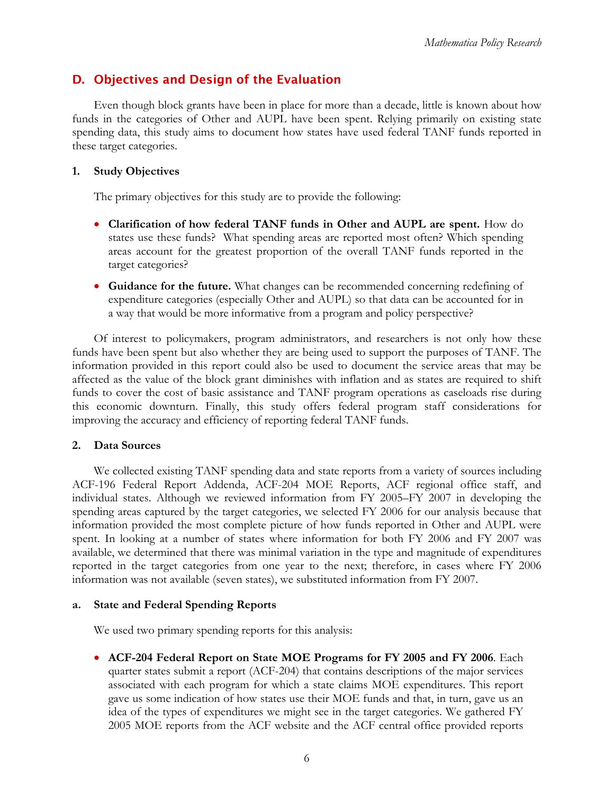# <span id="page-18-0"></span>D. Objectives and Design of the Evaluation

Even though block grants have been in place for more than a decade, little is known about how funds in the categories of Other and AUPL have been spent. Relying primarily on existing state spending data, this study aims to document how states have used federal TANF funds reported in these target categories.

### **1. Study Objectives**

The primary objectives for this study are to provide the following:

- • **Clarification of how federal TANF funds in Other and AUPL are spent.** How do states use these funds? What spending areas are reported most often? Which spending areas account for the greatest proportion of the overall TANF funds reported in the target categories?
- • **Guidance for the future.** What changes can be recommended concerning redefining of expenditure categories (especially Other and AUPL) so that data can be accounted for in a way that would be more informative from a program and policy perspective?

Of interest to policymakers, program administrators, and researchers is not only how these funds have been spent but also whether they are being used to support the purposes of TANF. The information provided in this report could also be used to document the service areas that may be affected as the value of the block grant diminishes with inflation and as states are required to shift funds to cover the cost of basic assistance and TANF program operations as caseloads rise during this economic downturn. Finally, this study offers federal program staff considerations for improving the accuracy and efficiency of reporting federal TANF funds.

### **2. Data Sources**

We collected existing TANF spending data and state reports from a variety of sources including ACF-196 Federal Report Addenda, ACF-204 MOE Reports, ACF regional office staff, and individual states. Although we reviewed information from FY 2005–FY 2007 in developing the spending areas captured by the target categories, we selected FY 2006 for our analysis because that information provided the most complete picture of how funds reported in Other and AUPL were spent. In looking at a number of states where information for both FY 2006 and FY 2007 was available, we determined that there was minimal variation in the type and magnitude of expenditures reported in the target categories from one year to the next; therefore, in cases where FY 2006 information was not available (seven states), we substituted information from FY 2007.

### **a. State and Federal Spending Reports**

We used two primary spending reports for this analysis:

• **ACF-204 Federal Report on State MOE Programs for FY 2005 and FY 2006**. Each quarter states submit a report (ACF-204) that contains descriptions of the major services associated with each program for which a state claims MOE expenditures. This report gave us some indication of how states use their MOE funds and that, in turn, gave us an idea of the types of expenditures we might see in the target categories. We gathered FY 2005 MOE reports from the ACF website and the ACF central office provided reports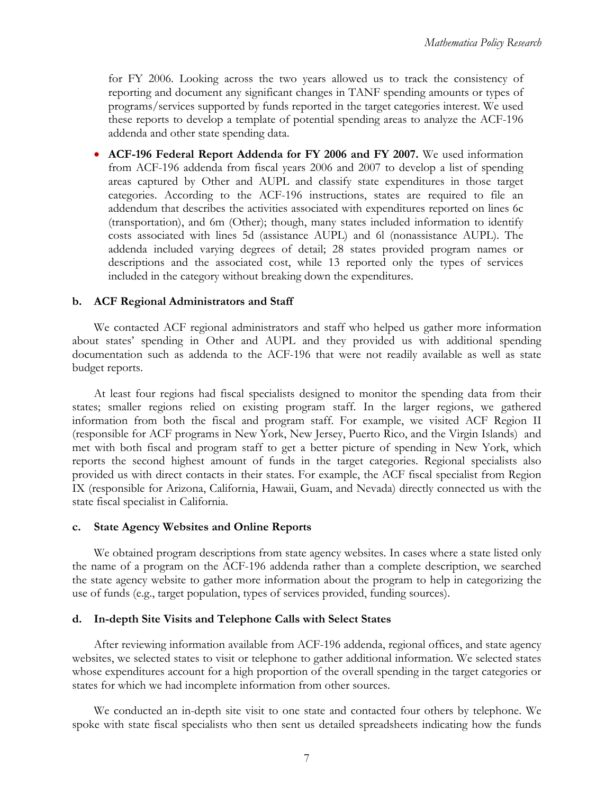<span id="page-19-0"></span>for FY 2006. Looking across the two years allowed us to track the consistency of reporting and document any significant changes in TANF spending amounts or types of programs/services supported by funds reported in the target categories interest. We used these reports to develop a template of potential spending areas to analyze the ACF-196 addenda and other state spending data.

• **ACF-196 Federal Report Addenda for FY 2006 and FY 2007.** We used information from ACF-196 addenda from fiscal years 2006 and 2007 to develop a list of spending areas captured by Other and AUPL and classify state expenditures in those target categories. According to the ACF-196 instructions, states are required to file an addendum that describes the activities associated with expenditures reported on lines 6c (transportation), and 6m (Other); though, many states included information to identify costs associated with lines 5d (assistance AUPL) and 6l (nonassistance AUPL). The addenda included varying degrees of detail; 28 states provided program names or descriptions and the associated cost, while 13 reported only the types of services included in the category without breaking down the expenditures.

### **b. ACF Regional Administrators and Staff**

We contacted ACF regional administrators and staff who helped us gather more information about states' spending in Other and AUPL and they provided us with additional spending documentation such as addenda to the ACF-196 that were not readily available as well as state budget reports.

At least four regions had fiscal specialists designed to monitor the spending data from their states; smaller regions relied on existing program staff. In the larger regions, we gathered information from both the fiscal and program staff. For example, we visited ACF Region II (responsible for ACF programs in New York, New Jersey, Puerto Rico, and the Virgin Islands) and met with both fiscal and program staff to get a better picture of spending in New York, which reports the second highest amount of funds in the target categories. Regional specialists also provided us with direct contacts in their states. For example, the ACF fiscal specialist from Region IX (responsible for Arizona, California, Hawaii, Guam, and Nevada) directly connected us with the state fiscal specialist in California.

#### **c. State Agency Websites and Online Reports**

We obtained program descriptions from state agency websites. In cases where a state listed only the name of a program on the ACF-196 addenda rather than a complete description, we searched the state agency website to gather more information about the program to help in categorizing the use of funds (e.g., target population, types of services provided, funding sources).

#### **d. In-depth Site Visits and Telephone Calls with Select States**

After reviewing information available from ACF-196 addenda, regional offices, and state agency websites, we selected states to visit or telephone to gather additional information. We selected states whose expenditures account for a high proportion of the overall spending in the target categories or states for which we had incomplete information from other sources.

We conducted an in-depth site visit to one state and contacted four others by telephone. We spoke with state fiscal specialists who then sent us detailed spreadsheets indicating how the funds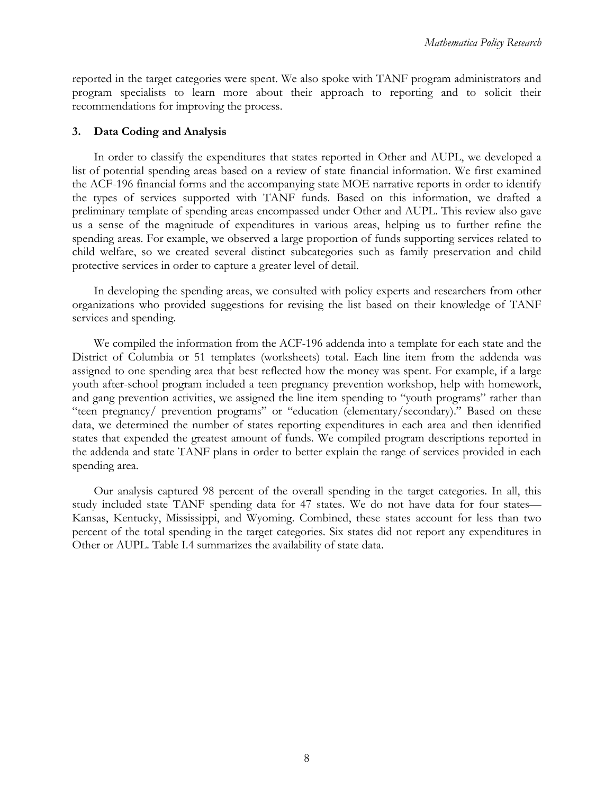<span id="page-20-0"></span>reported in the target categories were spent. We also spoke with TANF program administrators and program specialists to learn more about their approach to reporting and to solicit their recommendations for improving the process.

### **3. Data Coding and Analysis**

In order to classify the expenditures that states reported in Other and AUPL, we developed a list of potential spending areas based on a review of state financial information. We first examined the ACF-196 financial forms and the accompanying state MOE narrative reports in order to identify the types of services supported with TANF funds. Based on this information, we drafted a preliminary template of spending areas encompassed under Other and AUPL. This review also gave us a sense of the magnitude of expenditures in various areas, helping us to further refine the spending areas. For example, we observed a large proportion of funds supporting services related to child welfare, so we created several distinct subcategories such as family preservation and child protective services in order to capture a greater level of detail.

In developing the spending areas, we consulted with policy experts and researchers from other organizations who provided suggestions for revising the list based on their knowledge of TANF services and spending.

We compiled the information from the ACF-196 addenda into a template for each state and the District of Columbia or 51 templates (worksheets) total. Each line item from the addenda was assigned to one spending area that best reflected how the money was spent. For example, if a large youth after-school program included a teen pregnancy prevention workshop, help with homework, and gang prevention activities, we assigned the line item spending to "youth programs" rather than "teen pregnancy/ prevention programs" or "education (elementary/secondary)." Based on these data, we determined the number of states reporting expenditures in each area and then identified states that expended the greatest amount of funds. We compiled program descriptions reported in the addenda and state TANF plans in order to better explain the range of services provided in each spending area.

Our analysis captured 98 percent of the overall spending in the target categories. In all, this study included state TANF spending data for 47 states. We do not have data for four states— Kansas, Kentucky, Mississippi, and Wyoming. Combined, these states account for less than two percent of the total spending in the target categories. Six states did not report any expenditures in Other or AUPL. Table I.4 summarizes the availability of state data.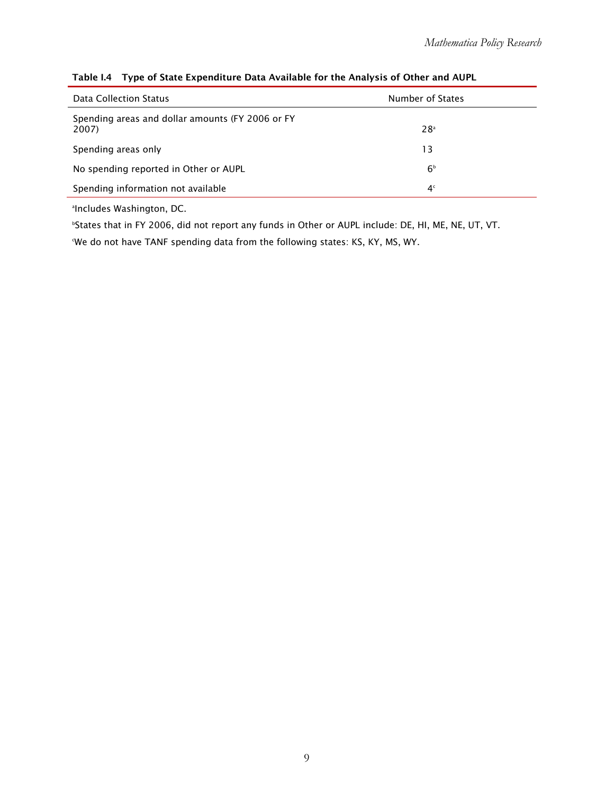| Data Collection Status                                    | Number of States |
|-----------------------------------------------------------|------------------|
| Spending areas and dollar amounts (FY 2006 or FY<br>2007) | 28 <sup>a</sup>  |
| Spending areas only                                       | 13               |
| No spending reported in Other or AUPL                     | 6 <sup>b</sup>   |
| Spending information not available                        | 4 <sup>c</sup>   |

#### <span id="page-21-0"></span>Table I.4 Type of State Expenditure Data Available for the Analysis of Other and AUPL

a Includes Washington, DC.

b States that in FY 2006, did not report any funds in Other or AUPL include: DE, HI, ME, NE, UT, VT.

We do not have TANF spending data from the following states: KS, KY, MS, WY.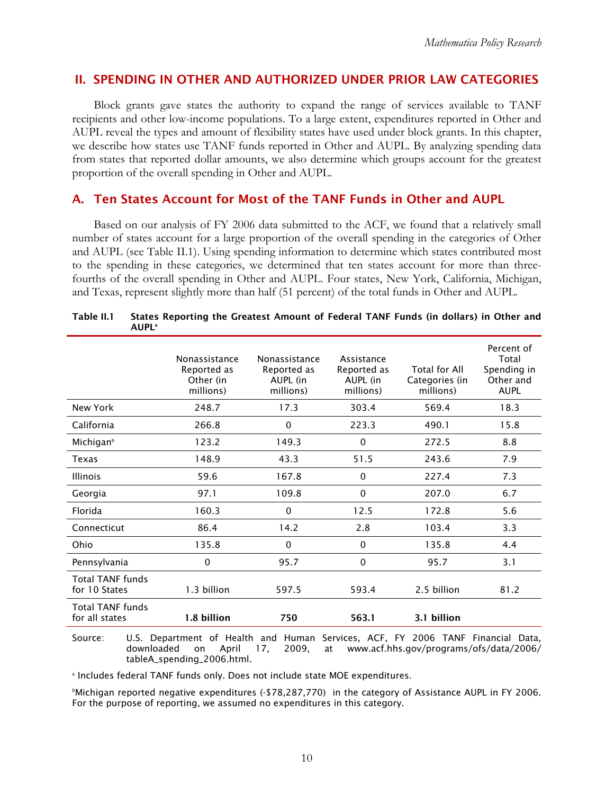### II. SPENDING IN OTHER AND AUTHORIZED UNDER PRIOR LAW CATEGORIES

Block grants gave states the authority to expand the range of services available to TANF recipients and other low-income populations. To a large extent, expenditures reported in Other and AUPL reveal the types and amount of flexibility states have used under block grants. In this chapter, we describe how states use TANF funds reported in Other and AUPL. By analyzing spending data from states that reported dollar amounts, we also determine which groups account for the greatest proportion of the overall spending in Other and AUPL.

### A. Ten States Account for Most of the TANF Funds in Other and AUPL

Based on our analysis of FY 2006 data submitted to the ACF, we found that a relatively small number of states account for a large proportion of the overall spending in the categories of Other and AUPL (see Table II.1). Using spending information to determine which states contributed most to the spending in these categories, we determined that ten states account for more than threefourths of the overall spending in Other and AUPL. Four states, New York, California, Michigan, and Texas, represent slightly more than half (51 percent) of the total funds in Other and AUPL.

|                                           | Nonassistance<br>Reported as<br>Other (in<br>millions) | Nonassistance<br>Reported as<br>AUPL (in<br>millions) | Assistance<br>Reported as<br>AUPL (in<br>millions) | Total for All<br>Categories (in<br>millions) | Percent of<br>Total<br>Spending in<br>Other and<br><b>AUPL</b> |
|-------------------------------------------|--------------------------------------------------------|-------------------------------------------------------|----------------------------------------------------|----------------------------------------------|----------------------------------------------------------------|
| New York                                  | 248.7                                                  | 17.3                                                  | 303.4                                              | 569.4                                        | 18.3                                                           |
| California                                | 266.8                                                  | $\mathbf 0$                                           | 223.3                                              | 490.1                                        | 15.8                                                           |
| Michigan <sup>b</sup>                     | 123.2                                                  | 149.3                                                 | $\mathbf 0$                                        | 272.5                                        | 8.8                                                            |
| Texas                                     | 148.9                                                  | 43.3                                                  | 51.5                                               | 243.6                                        | 7.9                                                            |
| <b>Illinois</b>                           | 59.6                                                   | 167.8                                                 | $\Omega$                                           | 227.4                                        | 7.3                                                            |
| Georgia                                   | 97.1                                                   | 109.8                                                 | $\Omega$                                           | 207.0                                        | 6.7                                                            |
| Florida                                   | 160.3                                                  | 0                                                     | 12.5                                               | 172.8                                        | 5.6                                                            |
| Connecticut                               | 86.4                                                   | 14.2                                                  | 2.8                                                | 103.4                                        | 3.3                                                            |
| Ohio                                      | 135.8                                                  | $\mathbf{0}$                                          | $\Omega$                                           | 135.8                                        | 4.4                                                            |
| Pennsylvania                              | 0                                                      | 95.7                                                  | 0                                                  | 95.7                                         | 3.1                                                            |
| <b>Total TANF funds</b><br>for 10 States  | 1.3 billion                                            | 597.5                                                 | 593.4                                              | 2.5 billion                                  | 81.2                                                           |
| <b>Total TANF funds</b><br>for all states | 1.8 billion                                            | 750                                                   | 563.1                                              | 3.1 billion                                  |                                                                |

| Table II.1 | States Reporting the Greatest Amount of Federal TANF Funds (in dollars) in Other and |
|------------|--------------------------------------------------------------------------------------|
|            | <b>AUPL</b> <sup>a</sup>                                                             |

Source: U.S. Department of Health and Human Services, ACF, FY 2006 TANF Financial Data, downloaded on April 17, 2009, at www.acf.hhs.gov/programs/ofs/data/2006/ tableA\_spending\_2006.html.

a Includes federal TANF funds only. Does not include state MOE expenditures.

 b Michigan reported negative expenditures (-\$78,287,770) in the category of Assistance AUPL in FY 2006. For the purpose of reporting, we assumed no expenditures in this category.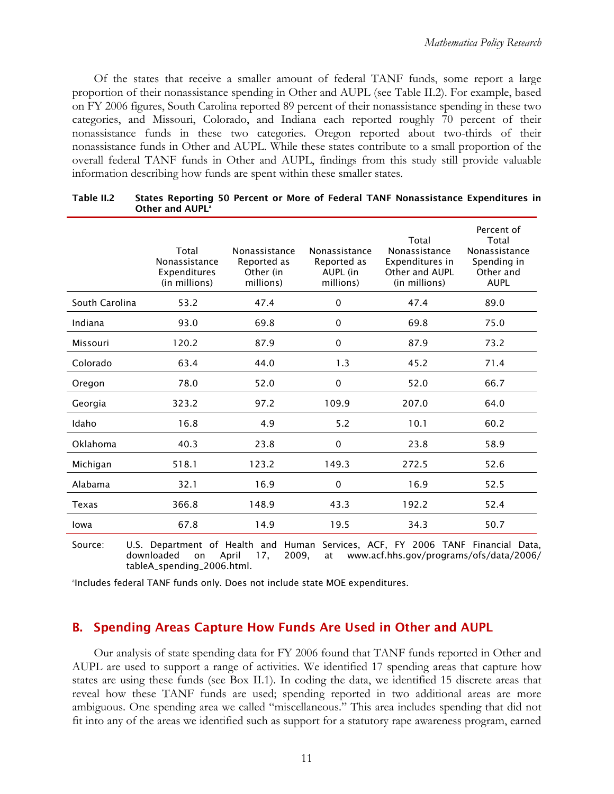Of the states that receive a smaller amount of federal TANF funds, some report a large proportion of their nonassistance spending in Other and AUPL (see Table II.2). For example, based on FY 2006 figures, South Carolina reported 89 percent of their nonassistance spending in these two categories, and Missouri, Colorado, and Indiana each reported roughly 70 percent of their nonassistance funds in these two categories. Oregon reported about two-thirds of their nonassistance funds in Other and AUPL. While these states contribute to a small proportion of the overall federal TANF funds in Other and AUPL, findings from this study still provide valuable information describing how funds are spent within these smaller states.

|                | Total<br>Nonassistance<br>Expenditures<br>(in millions) | Nonassistance<br>Reported as<br>Other (in<br>millions) | Nonassistance<br>Reported as<br>AUPL (in<br>millions) | Total<br>Nonassistance<br>Expenditures in<br>Other and AUPL<br>(in millions) | Percent of<br>Total<br>Nonassistance<br>Spending in<br>Other and<br><b>AUPL</b> |
|----------------|---------------------------------------------------------|--------------------------------------------------------|-------------------------------------------------------|------------------------------------------------------------------------------|---------------------------------------------------------------------------------|
| South Carolina | 53.2                                                    | 47.4                                                   | $\Omega$                                              | 47.4                                                                         | 89.0                                                                            |
| Indiana        | 93.0                                                    | 69.8                                                   | 0                                                     | 69.8                                                                         | 75.0                                                                            |
| Missouri       | 120.2                                                   | 87.9                                                   | 0                                                     | 87.9                                                                         | 73.2                                                                            |
| Colorado       | 63.4                                                    | 44.0                                                   | 1.3                                                   | 45.2                                                                         | 71.4                                                                            |
| Oregon         | 78.0                                                    | 52.0                                                   | 0                                                     | 52.0                                                                         | 66.7                                                                            |
| Georgia        | 323.2                                                   | 97.2                                                   | 109.9                                                 | 207.0                                                                        | 64.0                                                                            |
| Idaho          | 16.8                                                    | 4.9                                                    | 5.2                                                   | 10.1                                                                         | 60.2                                                                            |
| Oklahoma       | 40.3                                                    | 23.8                                                   | 0                                                     | 23.8                                                                         | 58.9                                                                            |
| Michigan       | 518.1                                                   | 123.2                                                  | 149.3                                                 | 272.5                                                                        | 52.6                                                                            |
| Alabama        | 32.1                                                    | 16.9                                                   | 0                                                     | 16.9                                                                         | 52.5                                                                            |
| Texas          | 366.8                                                   | 148.9                                                  | 43.3                                                  | 192.2                                                                        | 52.4                                                                            |
| Iowa           | 67.8                                                    | 14.9                                                   | 19.5                                                  | 34.3                                                                         | 50.7                                                                            |

| Table II.2 | States Reporting 50 Percent or More of Federal TANF Nonassistance Expenditures in |
|------------|-----------------------------------------------------------------------------------|
|            | Other and AUPL <sup>a</sup>                                                       |

Source: U.S. Department of Health and Human Services, ACF, FY 2006 TANF Financial Data, downloaded on April 17, 2009, at www.acf.hhs.gov/programs/ofs/data/2006/ tableA\_spending\_2006.html.

a Includes federal TANF funds only. Does not include state MOE expenditures.

### B. Spending Areas Capture How Funds Are Used in Other and AUPL

Our analysis of state spending data for FY 2006 found that TANF funds reported in Other and AUPL are used to support a range of activities. We identified 17 spending areas that capture how states are using these funds (see Box II.1). In coding the data, we identified 15 discrete areas that reveal how these TANF funds are used; spending reported in two additional areas are more ambiguous. One spending area we called "miscellaneous." This area includes spending that did not fit into any of the areas we identified such as support for a statutory rape awareness program, earned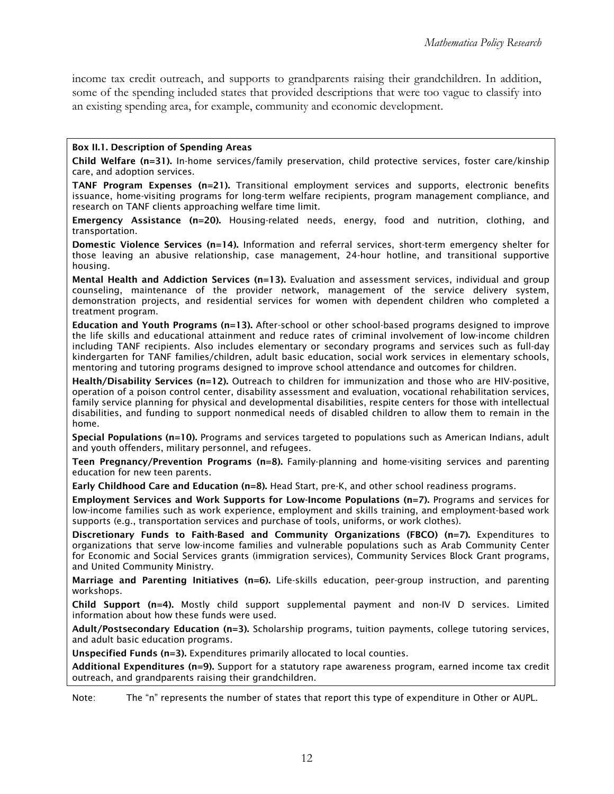income tax credit outreach, and supports to grandparents raising their grandchildren. In addition, some of the spending included states that provided descriptions that were too vague to classify into an existing spending area, for example, community and economic development.

#### Box II.1. Description of Spending Areas

Child Welfare (n=31). In-home services/family preservation, child protective services, foster care/kinship care, and adoption services.

TANF Program Expenses (n=21). Transitional employment services and supports, electronic benefits issuance, home-visiting programs for long-term welfare recipients, program management compliance, and research on TANF clients approaching welfare time limit.

 transportation. Emergency Assistance (n=20). Housing-related needs, energy, food and nutrition, clothing, and

 those leaving an abusive relationship, case management, 24-hour hotline, and transitional supportive Domestic Violence Services (n=14). Information and referral services, short-term emergency shelter for housing.

 treatment program. Mental Health and Addiction Services (n=13). Evaluation and assessment services, individual and group counseling, maintenance of the provider network, management of the service delivery system, demonstration projects, and residential services for women with dependent children who completed a

 Education and Youth Programs (n=13). After-school or other school-based programs designed to improve the life skills and educational attainment and reduce rates of criminal involvement of low-income children kindergarten for TANF families/children, adult basic education, social work services in elementary schools, including TANF recipients. Also includes elementary or secondary programs and services such as full-day mentoring and tutoring programs designed to improve school attendance and outcomes for children.

 Health/Disability Services (n=12). Outreach to children for immunization and those who are HIV-positive, family service planning for physical and developmental disabilities, respite centers for those with intellectual operation of a poison control center, disability assessment and evaluation, vocational rehabilitation services, disabilities, and funding to support nonmedical needs of disabled children to allow them to remain in the home.

 Special Populations (n=10). Programs and services targeted to populations such as American Indians, adult and youth offenders, military personnel, and refugees.

Teen Pregnancy/Prevention Programs (n=8). Family-planning and home-visiting services and parenting education for new teen parents.

Early Childhood Care and Education (n=8). Head Start, pre-K, and other school readiness programs.

 low-income families such as work experience, employment and skills training, and employment-based work supports (e.g., transportation services and purchase of tools, uniforms, or work clothes). Employment Services and Work Supports for Low-Income Populations (n=7). Programs and services for

 Discretionary Funds to Faith-Based and Community Organizations (FBCO) (n=7). Expenditures to organizations that serve low-income families and vulnerable populations such as Arab Community Center for Economic and Social Services grants (immigration services), Community Services Block Grant programs, and United Community Ministry.

Marriage and Parenting Initiatives (n=6). Life-skills education, peer-group instruction, and parenting workshops.

Child Support (n=4). Mostly child support supplemental payment and non-IV D services. Limited information about how these funds were used.

Adult/Postsecondary Education (n=3). Scholarship programs, tuition payments, college tutoring services, and adult basic education programs.

Unspecified Funds (n=3). Expenditures primarily allocated to local counties.

Additional Expenditures (n=9). Support for a statutory rape awareness program, earned income tax credit outreach, and grandparents raising their grandchildren.

Note: The "n" represents the number of states that report this type of expenditure in Other or AUPL.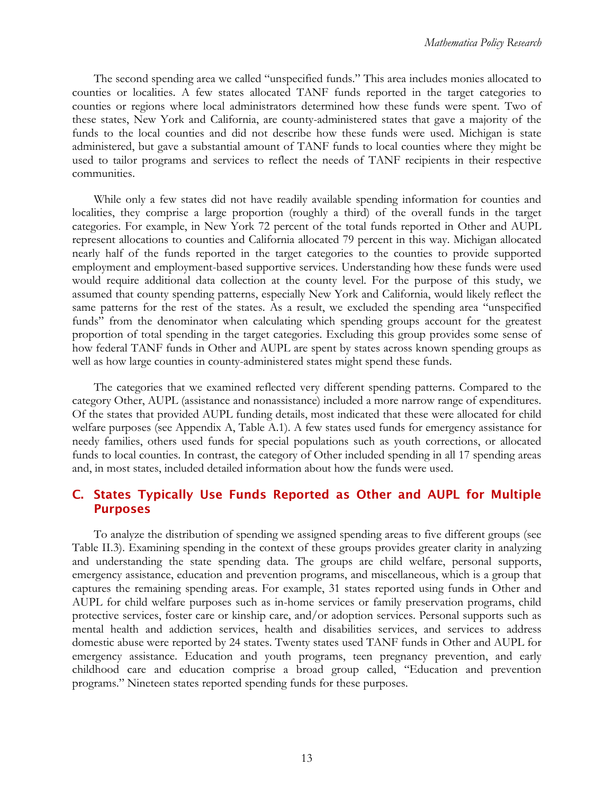<span id="page-25-0"></span>The second spending area we called "unspecified funds." This area includes monies allocated to counties or localities. A few states allocated TANF funds reported in the target categories to counties or regions where local administrators determined how these funds were spent. Two of these states, New York and California, are county-administered states that gave a majority of the funds to the local counties and did not describe how these funds were used. Michigan is state administered, but gave a substantial amount of TANF funds to local counties where they might be used to tailor programs and services to reflect the needs of TANF recipients in their respective communities.

While only a few states did not have readily available spending information for counties and localities, they comprise a large proportion (roughly a third) of the overall funds in the target categories. For example, in New York 72 percent of the total funds reported in Other and AUPL represent allocations to counties and California allocated 79 percent in this way. Michigan allocated nearly half of the funds reported in the target categories to the counties to provide supported employment and employment-based supportive services. Understanding how these funds were used would require additional data collection at the county level. For the purpose of this study, we assumed that county spending patterns, especially New York and California, would likely reflect the same patterns for the rest of the states. As a result, we excluded the spending area "unspecified funds" from the denominator when calculating which spending groups account for the greatest proportion of total spending in the target categories. Excluding this group provides some sense of how federal TANF funds in Other and AUPL are spent by states across known spending groups as well as how large counties in county-administered states might spend these funds.

The categories that we examined reflected very different spending patterns. Compared to the category Other, AUPL (assistance and nonassistance) included a more narrow range of expenditures. Of the states that provided AUPL funding details, most indicated that these were allocated for child welfare purposes (see Appendix A, Table A.1). A few states used funds for emergency assistance for needy families, others used funds for special populations such as youth corrections, or allocated funds to local counties. In contrast, the category of Other included spending in all 17 spending areas and, in most states, included detailed information about how the funds were used.

### C. States Typically Use Funds Reported as Other and AUPL for Multiple Purposes

To analyze the distribution of spending we assigned spending areas to five different groups (see Table II.3). Examining spending in the context of these groups provides greater clarity in analyzing and understanding the state spending data. The groups are child welfare, personal supports, emergency assistance, education and prevention programs, and miscellaneous, which is a group that captures the remaining spending areas. For example, 31 states reported using funds in Other and AUPL for child welfare purposes such as in-home services or family preservation programs, child protective services, foster care or kinship care, and/or adoption services. Personal supports such as mental health and addiction services, health and disabilities services, and services to address domestic abuse were reported by 24 states. Twenty states used TANF funds in Other and AUPL for emergency assistance. Education and youth programs, teen pregnancy prevention, and early childhood care and education comprise a broad group called, "Education and prevention programs." Nineteen states reported spending funds for these purposes.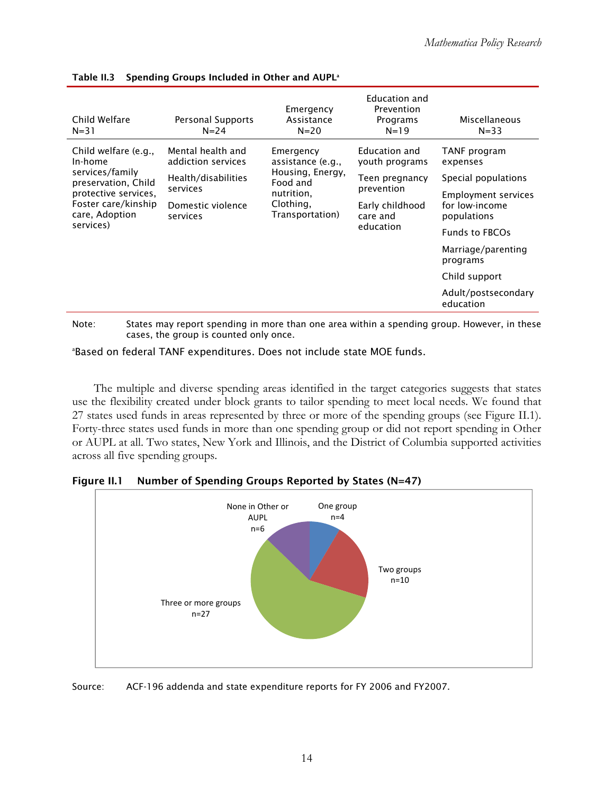| Child Welfare<br>$N = 31$                                                                                                                               | Personal Supports<br>$N = 24$                                                                               | Emergency<br>Assistance<br>$N = 20$                                                                          | Education and<br>Prevention<br>Programs<br>$N = 19$                                                         | Miscellaneous<br>$N = 33$                                                                                                                                                                                                      |
|---------------------------------------------------------------------------------------------------------------------------------------------------------|-------------------------------------------------------------------------------------------------------------|--------------------------------------------------------------------------------------------------------------|-------------------------------------------------------------------------------------------------------------|--------------------------------------------------------------------------------------------------------------------------------------------------------------------------------------------------------------------------------|
| Child welfare (e.g.,<br>In-home<br>services/family<br>preservation, Child<br>protective services,<br>Foster care/kinship<br>care, Adoption<br>services) | Mental health and<br>addiction services<br>Health/disabilities<br>services<br>Domestic violence<br>services | Emergency<br>assistance (e.g.,<br>Housing, Energy,<br>Food and<br>nutrition,<br>Clothing,<br>Transportation) | Education and<br>youth programs<br>Teen pregnancy<br>prevention<br>Early childhood<br>care and<br>education | TANF program<br>expenses<br>Special populations<br><b>Employment services</b><br>for low-income<br>populations<br><b>Funds to FBCOs</b><br>Marriage/parenting<br>programs<br>Child support<br>Adult/postsecondary<br>education |

#### Table II.3 Spending Groups Included in Other and AUPL<sup>a</sup>

 Note: States may report spending in more than one area within a spending group. However, in these cases, the group is counted only once.<br><sup>ap</sup>rased on foderal TANE expenditures. Does no

Based on federal TANF expenditures. Does not include state MOE funds.

The multiple and diverse spending areas identified in the target categories suggests that states use the flexibility created under block grants to tailor spending to meet local needs. We found that 27 states used funds in areas represented by three or more of the spending groups (see Figure II.1). Forty-three states used funds in more than one spending group or did not report spending in Other or AUPL at all. Two states, New York and Illinois, and the District of Columbia supported activities across all five spending groups.



Figure II.1 Number of Spending Groups Reported by States (N=47)

Source: ACF-196 addenda and state expenditure reports for FY 2006 and FY2007.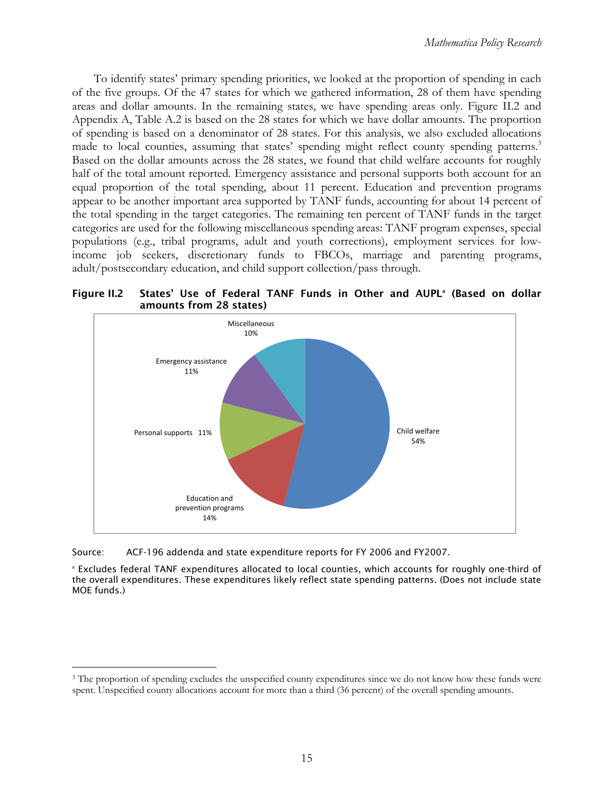<span id="page-27-0"></span>made to local counties, assuming that states' spending might reflect county spending patterns.<sup>3</sup> To identify states' primary spending priorities, we looked at the proportion of spending in each of the five groups. Of the 47 states for which we gathered information, 28 of them have spending areas and dollar amounts. In the remaining states, we have spending areas only. Figure II.2 and Appendix A, Table A.2 is based on the 28 states for which we have dollar amounts. The proportion of spending is based on a denominator of 28 states. For this analysis, we also excluded allocations Based on the dollar amounts across the 28 states, we found that child welfare accounts for roughly half of the total amount reported. Emergency assistance and personal supports both account for an equal proportion of the total spending, about 11 percent. Education and prevention programs appear to be another important area supported by TANF funds, accounting for about 14 percent of the total spending in the target categories. The remaining ten percent of TANF funds in the target categories are used for the following miscellaneous spending areas: TANF program expenses, special populations (e.g., tribal programs, adult and youth corrections), employment services for lowincome job seekers, discretionary funds to FBCOs, marriage and parenting programs, adult/postsecondary education, and child support collection/pass through.

**Figure II.2** Figure II.2 States' Use of Federal TANF Funds in Other and AUPL<sup>a</sup> (Based on dollar amounts from 28 states)



Source: ACF-196 addenda and state expenditure reports for FY 2006 and FY2007.

 $\overline{a}$ 

 the overall expenditures. These expenditures likely reflect state spending patterns. (Does not include state a Excludes federal TANF expenditures allocated to local counties, which accounts for roughly one-third of MOE funds.)

spent. Unspecified county allocations account for more than a third (36 percent) of the overall spending amounts.<br>  $15$ <sup>3</sup> The proportion of spending excludes the unspecified county expenditures since we do not know how these funds were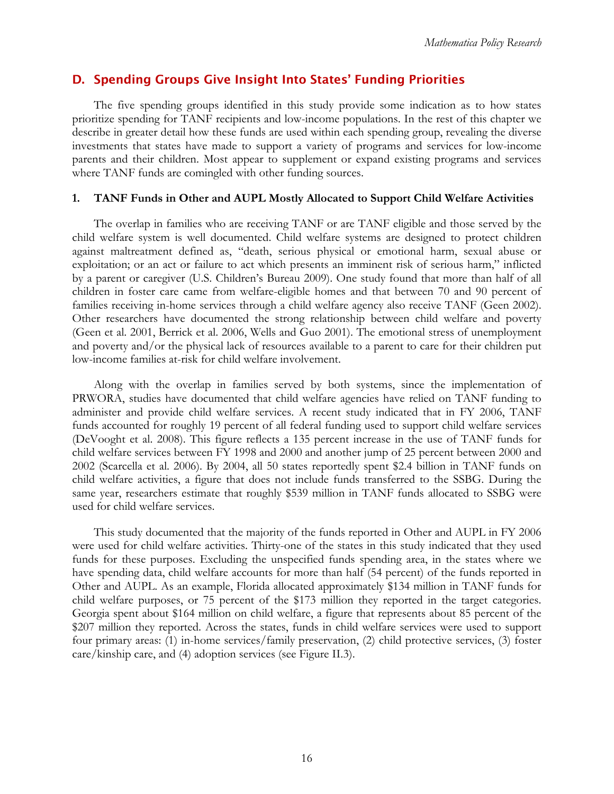### <span id="page-28-0"></span>D. Spending Groups Give Insight Into States' Funding Priorities

The five spending groups identified in this study provide some indication as to how states prioritize spending for TANF recipients and low-income populations. In the rest of this chapter we describe in greater detail how these funds are used within each spending group, revealing the diverse investments that states have made to support a variety of programs and services for low-income parents and their children. Most appear to supplement or expand existing programs and services where TANF funds are comingled with other funding sources.

### **1. TANF Funds in Other and AUPL Mostly Allocated to Support Child Welfare Activities**

The overlap in families who are receiving TANF or are TANF eligible and those served by the child welfare system is well documented. Child welfare systems are designed to protect children against maltreatment defined as, "death, serious physical or emotional harm, sexual abuse or exploitation; or an act or failure to act which presents an imminent risk of serious harm," inflicted by a parent or caregiver (U.S. Children's Bureau 2009). One study found that more than half of all children in foster care came from welfare-eligible homes and that between 70 and 90 percent of families receiving in-home services through a child welfare agency also receive TANF (Geen 2002). Other researchers have documented the strong relationship between child welfare and poverty (Geen et al. 2001, Berrick et al. 2006, Wells and Guo 2001). The emotional stress of unemployment and poverty and/or the physical lack of resources available to a parent to care for their children put low-income families at-risk for child welfare involvement.

Along with the overlap in families served by both systems, since the implementation of PRWORA, studies have documented that child welfare agencies have relied on TANF funding to administer and provide child welfare services. A recent study indicated that in FY 2006, TANF funds accounted for roughly 19 percent of all federal funding used to support child welfare services (DeVooght et al. 2008). This figure reflects a 135 percent increase in the use of TANF funds for child welfare services between FY 1998 and 2000 and another jump of 25 percent between 2000 and 2002 (Scarcella et al. 2006). By 2004, all 50 states reportedly spent \$2.4 billion in TANF funds on child welfare activities, a figure that does not include funds transferred to the SSBG. During the same year, researchers estimate that roughly \$539 million in TANF funds allocated to SSBG were used for child welfare services.

This study documented that the majority of the funds reported in Other and AUPL in FY 2006 were used for child welfare activities. Thirty-one of the states in this study indicated that they used funds for these purposes. Excluding the unspecified funds spending area, in the states where we have spending data, child welfare accounts for more than half (54 percent) of the funds reported in Other and AUPL. As an example, Florida allocated approximately \$134 million in TANF funds for child welfare purposes, or 75 percent of the \$173 million they reported in the target categories. Georgia spent about \$164 million on child welfare, a figure that represents about 85 percent of the \$207 million they reported. Across the states, funds in child welfare services were used to support four primary areas: (1) in-home services/family preservation, (2) child protective services, (3) foster care/kinship care, and (4) adoption services (see Figure II.3).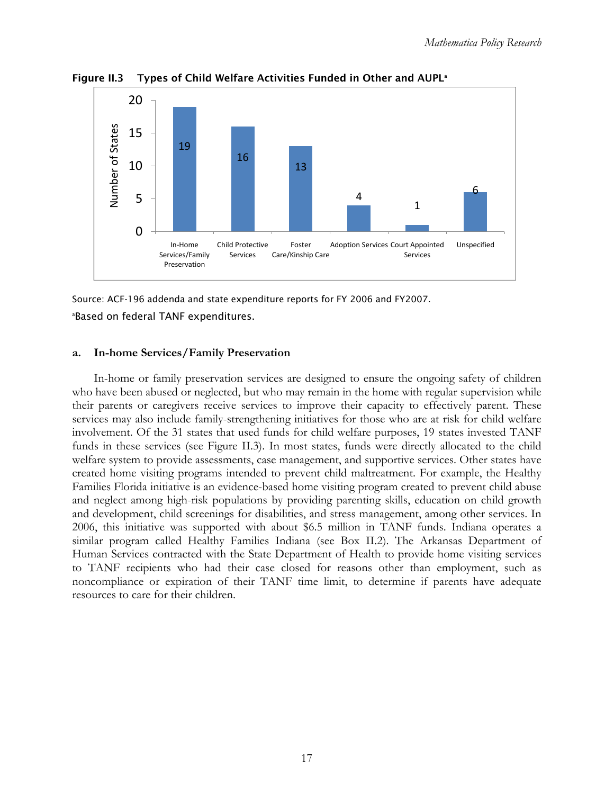

<span id="page-29-0"></span>Figure II.3 Types of Child Welfare Activities Funded in Other and AUPL<sup>a</sup>

### a Based on federal TANF expenditures.

### **a. In-home Services/Family Preservation**

In-home or family preservation services are designed to ensure the ongoing safety of children who have been abused or neglected, but who may remain in the home with regular supervision while their parents or caregivers receive services to improve their capacity to effectively parent. These services may also include family-strengthening initiatives for those who are at risk for child welfare involvement. Of the 31 states that used funds for child welfare purposes, 19 states invested TANF funds in these services (see Figure II.3). In most states, funds were directly allocated to the child welfare system to provide assessments, case management, and supportive services. Other states have created home visiting programs intended to prevent child maltreatment. For example, the Healthy Families Florida initiative is an evidence-based home visiting program created to prevent child abuse and neglect among high-risk populations by providing parenting skills, education on child growth and development, child screenings for disabilities, and stress management, among other services. In 2006, this initiative was supported with about \$6.5 million in TANF funds. Indiana operates a similar program called Healthy Families Indiana (see Box II.2). The Arkansas Department of Human Services contracted with the State Department of Health to provide home visiting services to TANF recipients who had their case closed for reasons other than employment, such as noncompliance or expiration of their TANF time limit, to determine if parents have adequate resources to care for their children.

Source: ACF-196 addenda and state expenditure reports for FY 2006 and FY2007.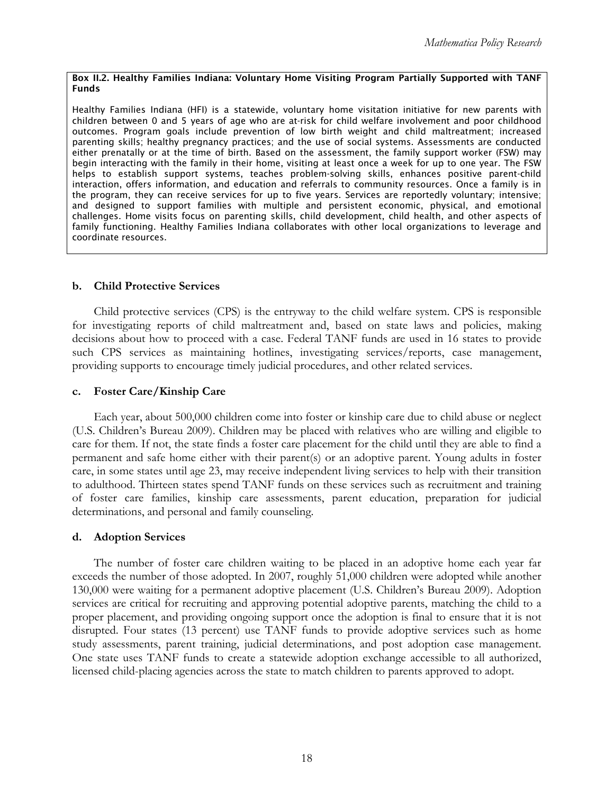#### Box II.2. Healthy Families Indiana: Voluntary Home Visiting Program Partially Supported with TANF Funds

 Healthy Families Indiana (HFI) is a statewide, voluntary home visitation initiative for new parents with outcomes. Program goals include prevention of low birth weight and child maltreatment; increased either prenatally or at the time of birth. Based on the assessment, the family support worker (FSW) may begin interacting with the family in their home, visiting at least once a week for up to one year. The FSW interaction, offers information, and education and referrals to community resources. Once a family is in the program, they can receive services for up to five years. Services are reportedly voluntary; intensive; family functioning. Healthy Families Indiana collaborates with other local organizations to leverage and children between 0 and 5 years of age who are at-risk for child welfare involvement and poor childhood parenting skills; healthy pregnancy practices; and the use of social systems. Assessments are conducted helps to establish support systems, teaches problem-solving skills, enhances positive parent-child and designed to support families with multiple and persistent economic, physical, and emotional challenges. Home visits focus on parenting skills, child development, child health, and other aspects of coordinate resources.

### **b. Child Protective Services**

Child protective services (CPS) is the entryway to the child welfare system. CPS is responsible for investigating reports of child maltreatment and, based on state laws and policies, making decisions about how to proceed with a case. Federal TANF funds are used in 16 states to provide such CPS services as maintaining hotlines, investigating services/reports, case management, providing supports to encourage timely judicial procedures, and other related services.

### **c. Foster Care/Kinship Care**

Each year, about 500,000 children come into foster or kinship care due to child abuse or neglect (U.S. Children's Bureau 2009). Children may be placed with relatives who are willing and eligible to care for them. If not, the state finds a foster care placement for the child until they are able to find a permanent and safe home either with their parent(s) or an adoptive parent. Young adults in foster care, in some states until age 23, may receive independent living services to help with their transition to adulthood. Thirteen states spend TANF funds on these services such as recruitment and training of foster care families, kinship care assessments, parent education, preparation for judicial determinations, and personal and family counseling.

### **d. Adoption Services**

The number of foster care children waiting to be placed in an adoptive home each year far exceeds the number of those adopted. In 2007, roughly 51,000 children were adopted while another 130,000 were waiting for a permanent adoptive placement (U.S. Children's Bureau 2009). Adoption services are critical for recruiting and approving potential adoptive parents, matching the child to a proper placement, and providing ongoing support once the adoption is final to ensure that it is not disrupted. Four states (13 percent) use TANF funds to provide adoptive services such as home study assessments, parent training, judicial determinations, and post adoption case management. One state uses TANF funds to create a statewide adoption exchange accessible to all authorized, licensed child-placing agencies across the state to match children to parents approved to adopt.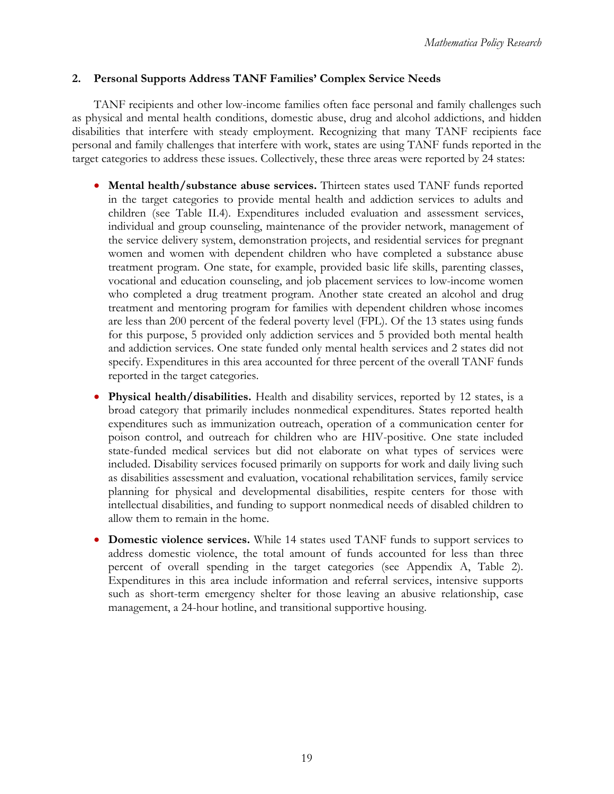### <span id="page-31-0"></span>**2. Personal Supports Address TANF Families' Complex Service Needs**

TANF recipients and other low-income families often face personal and family challenges such as physical and mental health conditions, domestic abuse, drug and alcohol addictions, and hidden disabilities that interfere with steady employment. Recognizing that many TANF recipients face personal and family challenges that interfere with work, states are using TANF funds reported in the target categories to address these issues. Collectively, these three areas were reported by 24 states:

- Mental health/substance abuse services. Thirteen states used TANF funds reported in the target categories to provide mental health and addiction services to adults and children (see Table II.4). Expenditures included evaluation and assessment services, individual and group counseling, maintenance of the provider network, management of the service delivery system, demonstration projects, and residential services for pregnant women and women with dependent children who have completed a substance abuse treatment program. One state, for example, provided basic life skills, parenting classes, vocational and education counseling, and job placement services to low-income women who completed a drug treatment program. Another state created an alcohol and drug treatment and mentoring program for families with dependent children whose incomes are less than 200 percent of the federal poverty level (FPL). Of the 13 states using funds for this purpose, 5 provided only addiction services and 5 provided both mental health and addiction services. One state funded only mental health services and 2 states did not specify. Expenditures in this area accounted for three percent of the overall TANF funds reported in the target categories.
- **Physical health/disabilities.** Health and disability services, reported by 12 states, is a broad category that primarily includes nonmedical expenditures. States reported health expenditures such as immunization outreach, operation of a communication center for poison control, and outreach for children who are HIV-positive. One state included state-funded medical services but did not elaborate on what types of services were included. Disability services focused primarily on supports for work and daily living such as disabilities assessment and evaluation, vocational rehabilitation services, family service planning for physical and developmental disabilities, respite centers for those with intellectual disabilities, and funding to support nonmedical needs of disabled children to allow them to remain in the home.
- **Domestic violence services.** While 14 states used TANF funds to support services to address domestic violence, the total amount of funds accounted for less than three percent of overall spending in the target categories (see Appendix A, Table 2). Expenditures in this area include information and referral services, intensive supports such as short-term emergency shelter for those leaving an abusive relationship, case management, a 24-hour hotline, and transitional supportive housing.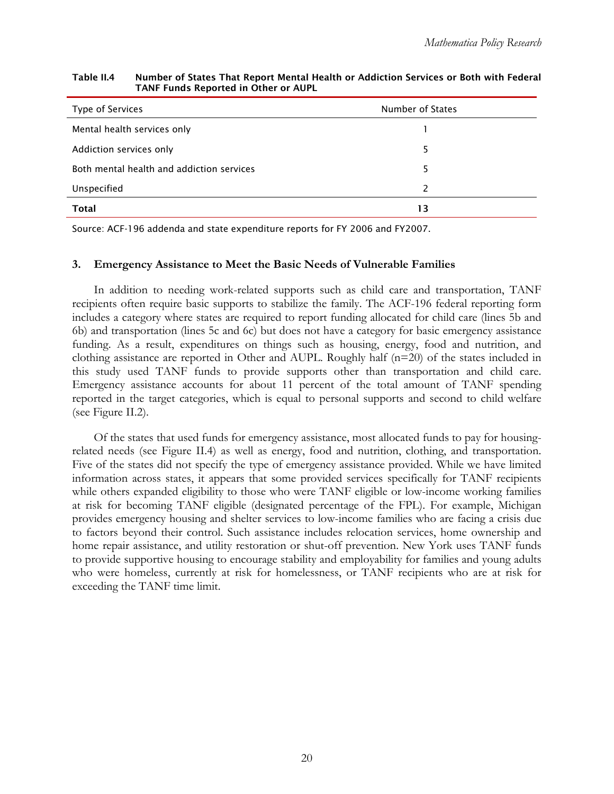| Type of Services                          | Number of States |  |
|-------------------------------------------|------------------|--|
| Mental health services only               |                  |  |
| Addiction services only                   | 5                |  |
| Both mental health and addiction services | 5                |  |
| Unspecified                               | $\mathcal{P}$    |  |
| <b>Total</b>                              | 13               |  |

#### Table II.4 Number of States That Report Mental Health or Addiction Services or Both with Federal TANF Funds Reported in Other or AUPL

Source: ACF-196 addenda and state expenditure reports for FY 2006 and FY2007.

#### **3. Emergency Assistance to Meet the Basic Needs of Vulnerable Families**

In addition to needing work-related supports such as child care and transportation, TANF recipients often require basic supports to stabilize the family. The ACF-196 federal reporting form includes a category where states are required to report funding allocated for child care (lines 5b and 6b) and transportation (lines 5c and 6c) but does not have a category for basic emergency assistance funding. As a result, expenditures on things such as housing, energy, food and nutrition, and clothing assistance are reported in Other and AUPL. Roughly half  $(n=20)$  of the states included in this study used TANF funds to provide supports other than transportation and child care. Emergency assistance accounts for about 11 percent of the total amount of TANF spending reported in the target categories, which is equal to personal supports and second to child welfare (see Figure II.2).

Of the states that used funds for emergency assistance, most allocated funds to pay for housingrelated needs (see Figure II.4) as well as energy, food and nutrition, clothing, and transportation. Five of the states did not specify the type of emergency assistance provided. While we have limited information across states, it appears that some provided services specifically for TANF recipients while others expanded eligibility to those who were TANF eligible or low-income working families at risk for becoming TANF eligible (designated percentage of the FPL). For example, Michigan provides emergency housing and shelter services to low-income families who are facing a crisis due to factors beyond their control. Such assistance includes relocation services, home ownership and home repair assistance, and utility restoration or shut-off prevention. New York uses TANF funds to provide supportive housing to encourage stability and employability for families and young adults who were homeless, currently at risk for homelessness, or TANF recipients who are at risk for exceeding the TANF time limit.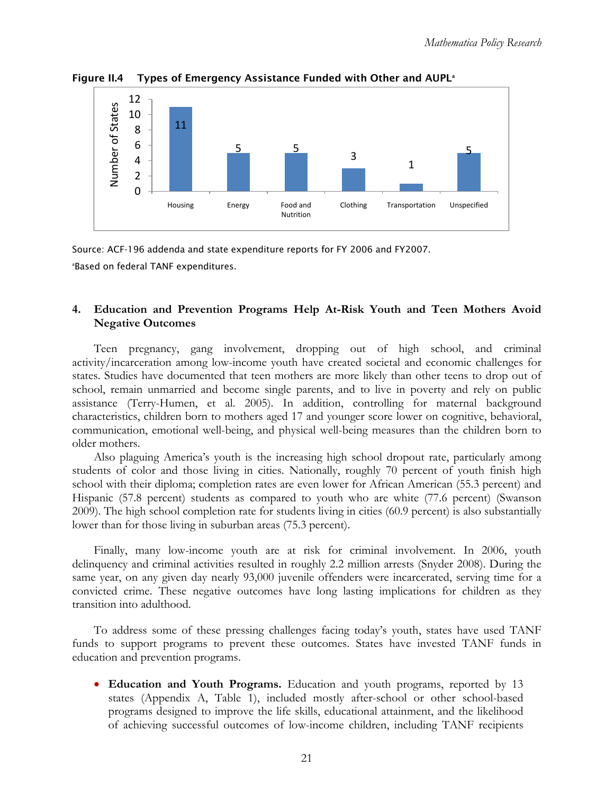

<span id="page-33-0"></span>Figure II.4 Types of Emergency Assistance Funded with Other and AUPL<sup>a</sup>

 a Based on federal TANF expenditures. Source: ACF-196 addenda and state expenditure reports for FY 2006 and FY2007.

### **4. Education and Prevention Programs Help At-Risk Youth and Teen Mothers Avoid Negative Outcomes**

Teen pregnancy, gang involvement, dropping out of high school, and criminal activity/incarceration among low-income youth have created societal and economic challenges for states. Studies have documented that teen mothers are more likely than other teens to drop out of school, remain unmarried and become single parents, and to live in poverty and rely on public assistance (Terry-Humen, et al. 2005). In addition, controlling for maternal background characteristics, children born to mothers aged 17 and younger score lower on cognitive, behavioral, communication, emotional well-being, and physical well-being measures than the children born to older mothers.

Also plaguing America's youth is the increasing high school dropout rate, particularly among students of color and those living in cities. Nationally, roughly 70 percent of youth finish high school with their diploma; completion rates are even lower for African American (55.3 percent) and Hispanic (57.8 percent) students as compared to youth who are white (77.6 percent) (Swanson 2009). The high school completion rate for students living in cities (60.9 percent) is also substantially lower than for those living in suburban areas (75.3 percent).

Finally, many low-income youth are at risk for criminal involvement. In 2006, youth delinquency and criminal activities resulted in roughly 2.2 million arrests (Snyder 2008). During the same year, on any given day nearly 93,000 juvenile offenders were incarcerated, serving time for a convicted crime. These negative outcomes have long lasting implications for children as they transition into adulthood.

To address some of these pressing challenges facing today's youth, states have used TANF funds to support programs to prevent these outcomes. States have invested TANF funds in education and prevention programs.

• **Education and Youth Programs.** Education and youth programs, reported by 13 states (Appendix A, Table 1), included mostly after-school or other school-based programs designed to improve the life skills, educational attainment, and the likelihood of achieving successful outcomes of low-income children, including TANF recipients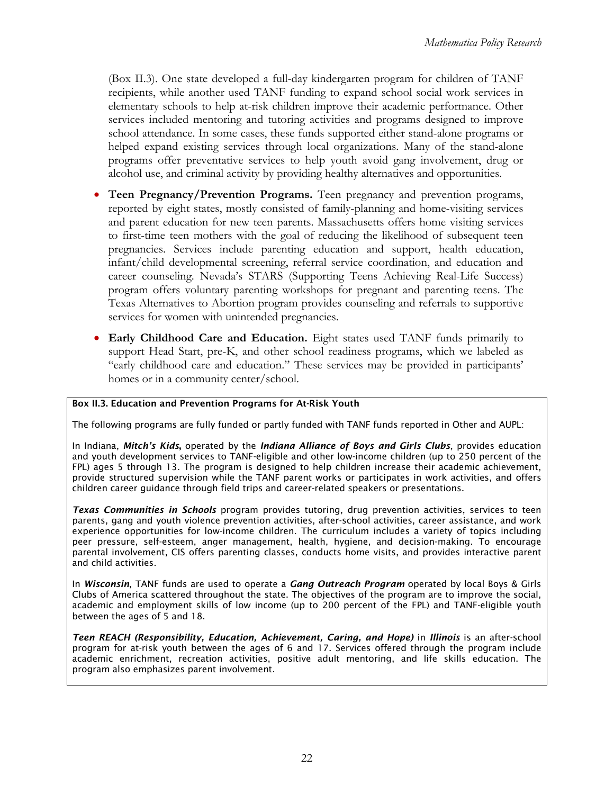(Box II.3). One state developed a full-day kindergarten program for children of TANF recipients, while another used TANF funding to expand school social work services in elementary schools to help at-risk children improve their academic performance. Other services included mentoring and tutoring activities and programs designed to improve school attendance. In some cases, these funds supported either stand-alone programs or helped expand existing services through local organizations. Many of the stand-alone programs offer preventative services to help youth avoid gang involvement, drug or alcohol use, and criminal activity by providing healthy alternatives and opportunities.

- • **Teen Pregnancy/Prevention Programs.** Teen pregnancy and prevention programs, reported by eight states, mostly consisted of family-planning and home-visiting services and parent education for new teen parents. Massachusetts offers home visiting services to first-time teen mothers with the goal of reducing the likelihood of subsequent teen pregnancies. Services include parenting education and support, health education, infant/child developmental screening, referral service coordination, and education and career counseling. Nevada's STARS (Supporting Teens Achieving Real-Life Success) program offers voluntary parenting workshops for pregnant and parenting teens. The Texas Alternatives to Abortion program provides counseling and referrals to supportive services for women with unintended pregnancies.
- • **Early Childhood Care and Education.** Eight states used TANF funds primarily to support Head Start, pre-K, and other school readiness programs, which we labeled as "early childhood care and education." These services may be provided in participants' homes or in a community center/school.

#### Box II.3. Education and Prevention Programs for At-Risk Youth

The following programs are fully funded or partly funded with TANF funds reported in Other and AUPL:

 In Indiana, *Mitch's Kids*, operated by the *Indiana Alliance of Boys and Girls Clubs*, provides education FPL) ages 5 through 13. The program is designed to help children increase their academic achievement, and youth development services to TANF-eligible and other low-income children (up to 250 percent of the provide structured supervision while the TANF parent works or participates in work activities, and offers children career guidance through field trips and career-related speakers or presentations.

 *Texas Communities in Schools* program provides tutoring, drug prevention activities, services to teen parents, gang and youth violence prevention activities, after-school activities, career assistance, and work experience opportunities for low-income children. The curriculum includes a variety of topics including peer pressure, self-esteem, anger management, health, hygiene, and decision-making. To encourage parental involvement, CIS offers parenting classes, conducts home visits, and provides interactive parent and child activities.

 Clubs of America scattered throughout the state. The objectives of the program are to improve the social, In *Wisconsin*, TANF funds are used to operate a *Gang Outreach Program* operated by local Boys & Girls academic and employment skills of low income (up to 200 percent of the FPL) and TANF-eligible youth between the ages of 5 and 18.

*Teen REACH (Responsibility, Education, Achievement, Caring, and Hope)* in *Illinois* is an after-school program for at-risk youth between the ages of 6 and 17. Services offered through the program include academic enrichment, recreation activities, positive adult mentoring, and life skills education. The program also emphasizes parent involvement.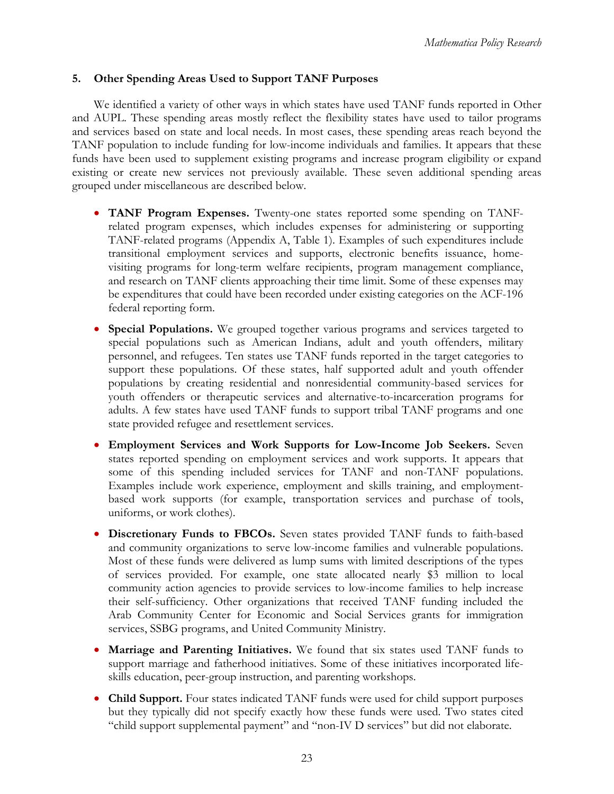### <span id="page-35-0"></span>**5. Other Spending Areas Used to Support TANF Purposes**

We identified a variety of other ways in which states have used TANF funds reported in Other and AUPL. These spending areas mostly reflect the flexibility states have used to tailor programs and services based on state and local needs. In most cases, these spending areas reach beyond the TANF population to include funding for low-income individuals and families. It appears that these funds have been used to supplement existing programs and increase program eligibility or expand existing or create new services not previously available. These seven additional spending areas grouped under miscellaneous are described below.

- • **TANF Program Expenses.** Twenty-one states reported some spending on TANFrelated program expenses, which includes expenses for administering or supporting TANF-related programs (Appendix A, Table 1). Examples of such expenditures include transitional employment services and supports, electronic benefits issuance, homevisiting programs for long-term welfare recipients, program management compliance, and research on TANF clients approaching their time limit. Some of these expenses may be expenditures that could have been recorded under existing categories on the ACF-196 federal reporting form.
- **Special Populations.** We grouped together various programs and services targeted to special populations such as American Indians, adult and youth offenders, military personnel, and refugees. Ten states use TANF funds reported in the target categories to support these populations. Of these states, half supported adult and youth offender populations by creating residential and nonresidential community-based services for youth offenders or therapeutic services and alternative-to-incarceration programs for adults. A few states have used TANF funds to support tribal TANF programs and one state provided refugee and resettlement services.
- • **Employment Services and Work Supports for Low-Income Job Seekers.** Seven states reported spending on employment services and work supports. It appears that some of this spending included services for TANF and non-TANF populations. Examples include work experience, employment and skills training, and employmentbased work supports (for example, transportation services and purchase of tools, uniforms, or work clothes).
- • **Discretionary Funds to FBCOs.** Seven states provided TANF funds to faith-based and community organizations to serve low-income families and vulnerable populations. Most of these funds were delivered as lump sums with limited descriptions of the types of services provided. For example, one state allocated nearly \$3 million to local community action agencies to provide services to low-income families to help increase their self-sufficiency. Other organizations that received TANF funding included the Arab Community Center for Economic and Social Services grants for immigration services, SSBG programs, and United Community Ministry.
- **Marriage and Parenting Initiatives.** We found that six states used TANF funds to support marriage and fatherhood initiatives. Some of these initiatives incorporated lifeskills education, peer-group instruction, and parenting workshops.
- **Child Support.** Four states indicated TANF funds were used for child support purposes but they typically did not specify exactly how these funds were used. Two states cited "child support supplemental payment" and "non-IV D services" but did not elaborate.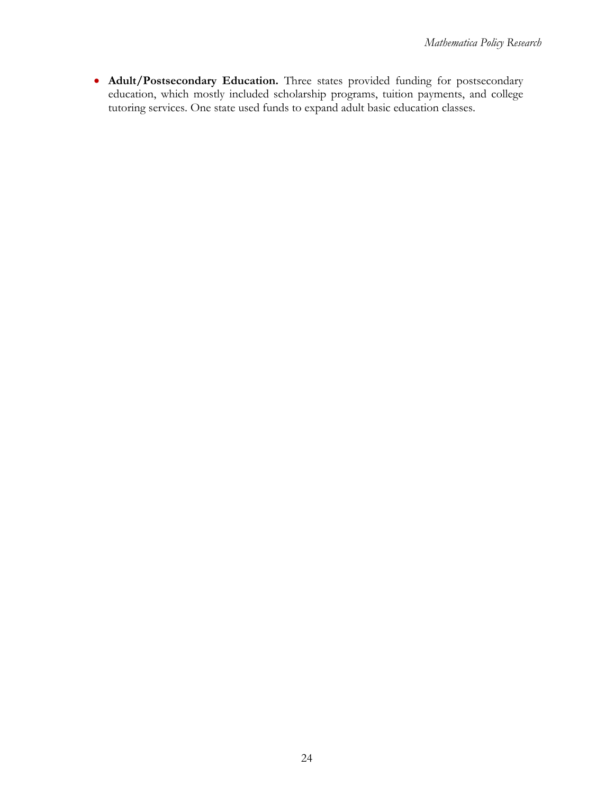• **Adult/Postsecondary Education.** Three states provided funding for postsecondary education, which mostly included scholarship programs, tuition payments, and college tutoring services. One state used funds to expand adult basic education classes.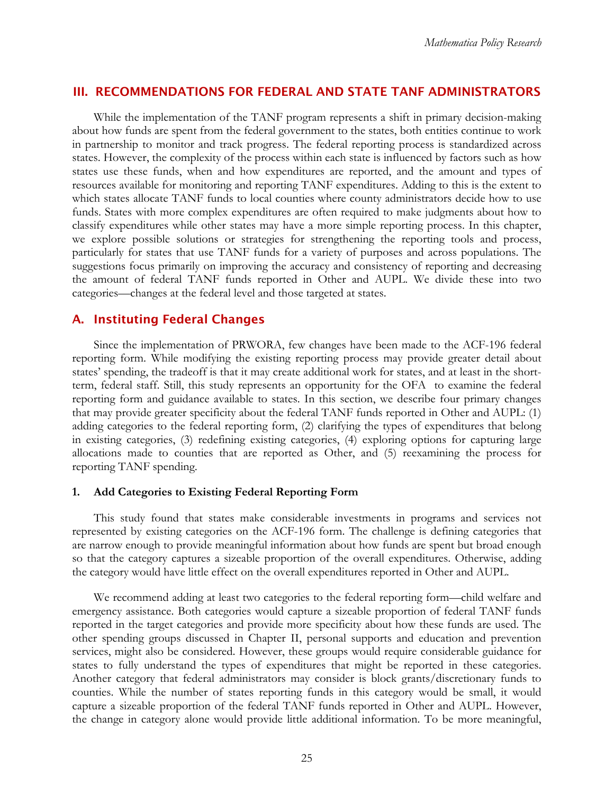### <span id="page-37-0"></span>III. RECOMMENDATIONS FOR FEDERAL AND STATE TANF ADMINISTRATORS

While the implementation of the TANF program represents a shift in primary decision-making about how funds are spent from the federal government to the states, both entities continue to work in partnership to monitor and track progress. The federal reporting process is standardized across states. However, the complexity of the process within each state is influenced by factors such as how states use these funds, when and how expenditures are reported, and the amount and types of resources available for monitoring and reporting TANF expenditures. Adding to this is the extent to which states allocate TANF funds to local counties where county administrators decide how to use funds. States with more complex expenditures are often required to make judgments about how to classify expenditures while other states may have a more simple reporting process. In this chapter, we explore possible solutions or strategies for strengthening the reporting tools and process, particularly for states that use TANF funds for a variety of purposes and across populations. The suggestions focus primarily on improving the accuracy and consistency of reporting and decreasing the amount of federal TANF funds reported in Other and AUPL. We divide these into two categories—changes at the federal level and those targeted at states.

### A. Instituting Federal Changes

Since the implementation of PRWORA, few changes have been made to the ACF-196 federal reporting form. While modifying the existing reporting process may provide greater detail about states' spending, the tradeoff is that it may create additional work for states, and at least in the shortterm, federal staff. Still, this study represents an opportunity for the OFA to examine the federal reporting form and guidance available to states. In this section, we describe four primary changes that may provide greater specificity about the federal TANF funds reported in Other and AUPL: (1) adding categories to the federal reporting form, (2) clarifying the types of expenditures that belong in existing categories, (3) redefining existing categories, (4) exploring options for capturing large allocations made to counties that are reported as Other, and (5) reexamining the process for reporting TANF spending.

### **1. Add Categories to Existing Federal Reporting Form**

This study found that states make considerable investments in programs and services not represented by existing categories on the ACF-196 form. The challenge is defining categories that are narrow enough to provide meaningful information about how funds are spent but broad enough so that the category captures a sizeable proportion of the overall expenditures. Otherwise, adding the category would have little effect on the overall expenditures reported in Other and AUPL.

We recommend adding at least two categories to the federal reporting form—child welfare and emergency assistance. Both categories would capture a sizeable proportion of federal TANF funds reported in the target categories and provide more specificity about how these funds are used. The other spending groups discussed in Chapter II, personal supports and education and prevention services, might also be considered. However, these groups would require considerable guidance for states to fully understand the types of expenditures that might be reported in these categories. Another category that federal administrators may consider is block grants/discretionary funds to counties. While the number of states reporting funds in this category would be small, it would capture a sizeable proportion of the federal TANF funds reported in Other and AUPL. However, the change in category alone would provide little additional information. To be more meaningful,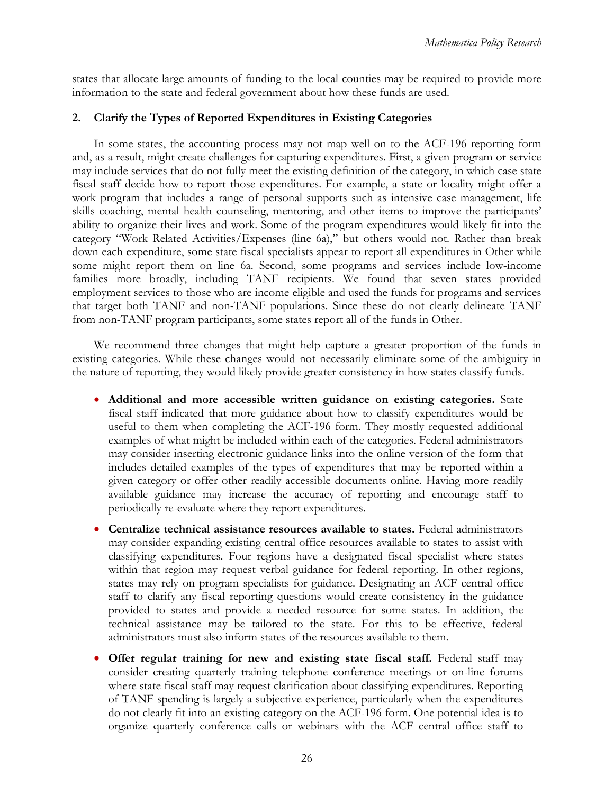<span id="page-38-0"></span>states that allocate large amounts of funding to the local counties may be required to provide more information to the state and federal government about how these funds are used.

### **2. Clarify the Types of Reported Expenditures in Existing Categories**

In some states, the accounting process may not map well on to the ACF-196 reporting form and, as a result, might create challenges for capturing expenditures. First, a given program or service may include services that do not fully meet the existing definition of the category, in which case state fiscal staff decide how to report those expenditures. For example, a state or locality might offer a work program that includes a range of personal supports such as intensive case management, life skills coaching, mental health counseling, mentoring, and other items to improve the participants' ability to organize their lives and work. Some of the program expenditures would likely fit into the category "Work Related Activities/Expenses (line 6a)," but others would not. Rather than break down each expenditure, some state fiscal specialists appear to report all expenditures in Other while some might report them on line 6a. Second, some programs and services include low-income families more broadly, including TANF recipients. We found that seven states provided employment services to those who are income eligible and used the funds for programs and services that target both TANF and non-TANF populations. Since these do not clearly delineate TANF from non-TANF program participants, some states report all of the funds in Other.

We recommend three changes that might help capture a greater proportion of the funds in existing categories. While these changes would not necessarily eliminate some of the ambiguity in the nature of reporting, they would likely provide greater consistency in how states classify funds.

- • **Additional and more accessible written guidance on existing categories.** State fiscal staff indicated that more guidance about how to classify expenditures would be useful to them when completing the ACF-196 form. They mostly requested additional examples of what might be included within each of the categories. Federal administrators may consider inserting electronic guidance links into the online version of the form that includes detailed examples of the types of expenditures that may be reported within a given category or offer other readily accessible documents online. Having more readily available guidance may increase the accuracy of reporting and encourage staff to periodically re-evaluate where they report expenditures.
- • **Centralize technical assistance resources available to states.** Federal administrators may consider expanding existing central office resources available to states to assist with classifying expenditures. Four regions have a designated fiscal specialist where states within that region may request verbal guidance for federal reporting. In other regions, states may rely on program specialists for guidance. Designating an ACF central office staff to clarify any fiscal reporting questions would create consistency in the guidance provided to states and provide a needed resource for some states. In addition, the technical assistance may be tailored to the state. For this to be effective, federal administrators must also inform states of the resources available to them.
- **Offer regular training for new and existing state fiscal staff.** Federal staff may consider creating quarterly training telephone conference meetings or on-line forums where state fiscal staff may request clarification about classifying expenditures. Reporting of TANF spending is largely a subjective experience, particularly when the expenditures do not clearly fit into an existing category on the ACF-196 form. One potential idea is to organize quarterly conference calls or webinars with the ACF central office staff to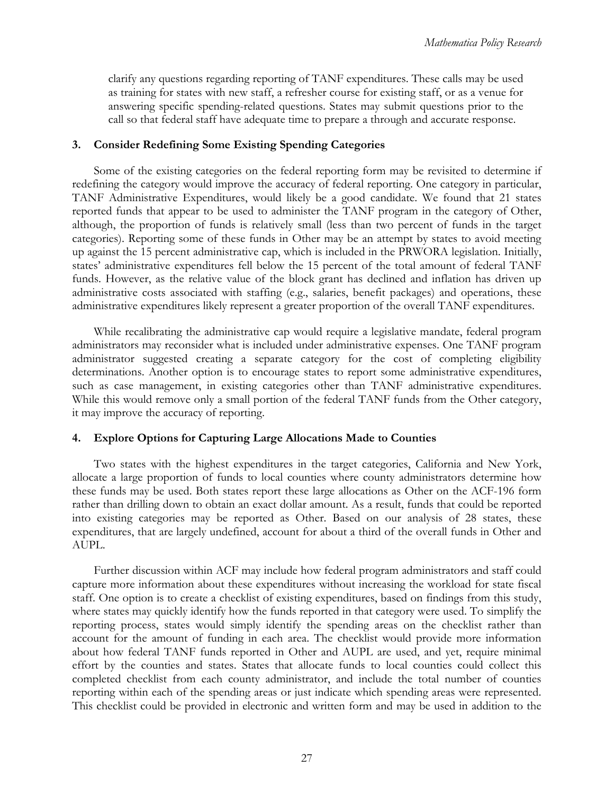<span id="page-39-0"></span>clarify any questions regarding reporting of TANF expenditures. These calls may be used as training for states with new staff, a refresher course for existing staff, or as a venue for answering specific spending-related questions. States may submit questions prior to the call so that federal staff have adequate time to prepare a through and accurate response.

### **3. Consider Redefining Some Existing Spending Categories**

Some of the existing categories on the federal reporting form may be revisited to determine if redefining the category would improve the accuracy of federal reporting. One category in particular, TANF Administrative Expenditures, would likely be a good candidate. We found that 21 states reported funds that appear to be used to administer the TANF program in the category of Other, although, the proportion of funds is relatively small (less than two percent of funds in the target categories). Reporting some of these funds in Other may be an attempt by states to avoid meeting up against the 15 percent administrative cap, which is included in the PRWORA legislation. Initially, states' administrative expenditures fell below the 15 percent of the total amount of federal TANF funds. However, as the relative value of the block grant has declined and inflation has driven up administrative costs associated with staffing (e.g., salaries, benefit packages) and operations, these administrative expenditures likely represent a greater proportion of the overall TANF expenditures.

While recalibrating the administrative cap would require a legislative mandate, federal program administrators may reconsider what is included under administrative expenses. One TANF program administrator suggested creating a separate category for the cost of completing eligibility determinations. Another option is to encourage states to report some administrative expenditures, such as case management, in existing categories other than TANF administrative expenditures. While this would remove only a small portion of the federal TANF funds from the Other category, it may improve the accuracy of reporting.

### **4. Explore Options for Capturing Large Allocations Made to Counties**

Two states with the highest expenditures in the target categories, California and New York, allocate a large proportion of funds to local counties where county administrators determine how these funds may be used. Both states report these large allocations as Other on the ACF-196 form rather than drilling down to obtain an exact dollar amount. As a result, funds that could be reported into existing categories may be reported as Other. Based on our analysis of 28 states, these expenditures, that are largely undefined, account for about a third of the overall funds in Other and AUPL.

Further discussion within ACF may include how federal program administrators and staff could capture more information about these expenditures without increasing the workload for state fiscal staff. One option is to create a checklist of existing expenditures, based on findings from this study, where states may quickly identify how the funds reported in that category were used. To simplify the reporting process, states would simply identify the spending areas on the checklist rather than account for the amount of funding in each area. The checklist would provide more information about how federal TANF funds reported in Other and AUPL are used, and yet, require minimal effort by the counties and states. States that allocate funds to local counties could collect this completed checklist from each county administrator, and include the total number of counties reporting within each of the spending areas or just indicate which spending areas were represented. This checklist could be provided in electronic and written form and may be used in addition to the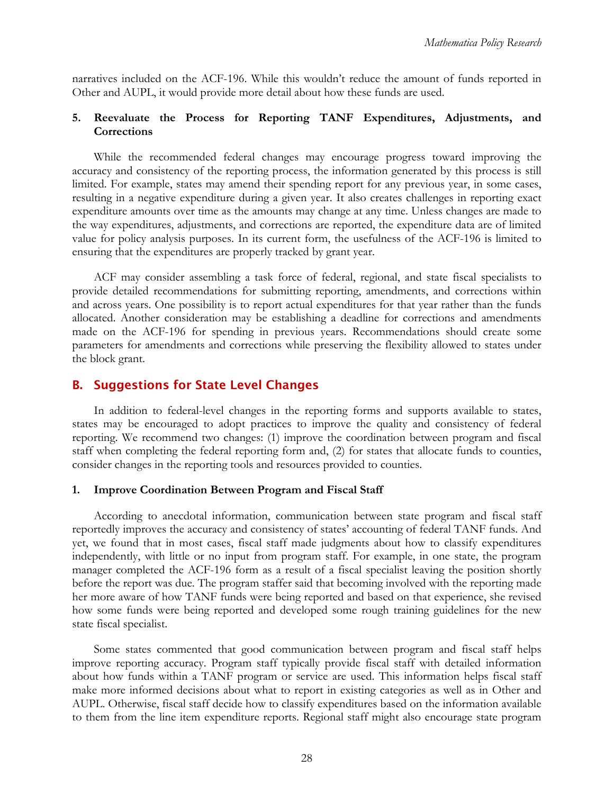<span id="page-40-0"></span>narratives included on the ACF-196. While this wouldn't reduce the amount of funds reported in Other and AUPL, it would provide more detail about how these funds are used.

### **5. Reevaluate the Process for Reporting TANF Expenditures, Adjustments, and Corrections**

While the recommended federal changes may encourage progress toward improving the accuracy and consistency of the reporting process, the information generated by this process is still limited. For example, states may amend their spending report for any previous year, in some cases, resulting in a negative expenditure during a given year. It also creates challenges in reporting exact expenditure amounts over time as the amounts may change at any time. Unless changes are made to the way expenditures, adjustments, and corrections are reported, the expenditure data are of limited value for policy analysis purposes. In its current form, the usefulness of the ACF-196 is limited to ensuring that the expenditures are properly tracked by grant year.

ACF may consider assembling a task force of federal, regional, and state fiscal specialists to provide detailed recommendations for submitting reporting, amendments, and corrections within and across years. One possibility is to report actual expenditures for that year rather than the funds allocated. Another consideration may be establishing a deadline for corrections and amendments made on the ACF-196 for spending in previous years. Recommendations should create some parameters for amendments and corrections while preserving the flexibility allowed to states under the block grant.

### B. Suggestions for State Level Changes

In addition to federal-level changes in the reporting forms and supports available to states, states may be encouraged to adopt practices to improve the quality and consistency of federal reporting. We recommend two changes: (1) improve the coordination between program and fiscal staff when completing the federal reporting form and, (2) for states that allocate funds to counties, consider changes in the reporting tools and resources provided to counties.

#### **1. Improve Coordination Between Program and Fiscal Staff**

According to anecdotal information, communication between state program and fiscal staff reportedly improves the accuracy and consistency of states' accounting of federal TANF funds. And yet, we found that in most cases, fiscal staff made judgments about how to classify expenditures independently, with little or no input from program staff. For example, in one state, the program manager completed the ACF-196 form as a result of a fiscal specialist leaving the position shortly before the report was due. The program staffer said that becoming involved with the reporting made her more aware of how TANF funds were being reported and based on that experience, she revised how some funds were being reported and developed some rough training guidelines for the new state fiscal specialist.

Some states commented that good communication between program and fiscal staff helps improve reporting accuracy. Program staff typically provide fiscal staff with detailed information about how funds within a TANF program or service are used. This information helps fiscal staff make more informed decisions about what to report in existing categories as well as in Other and AUPL. Otherwise, fiscal staff decide how to classify expenditures based on the information available to them from the line item expenditure reports. Regional staff might also encourage state program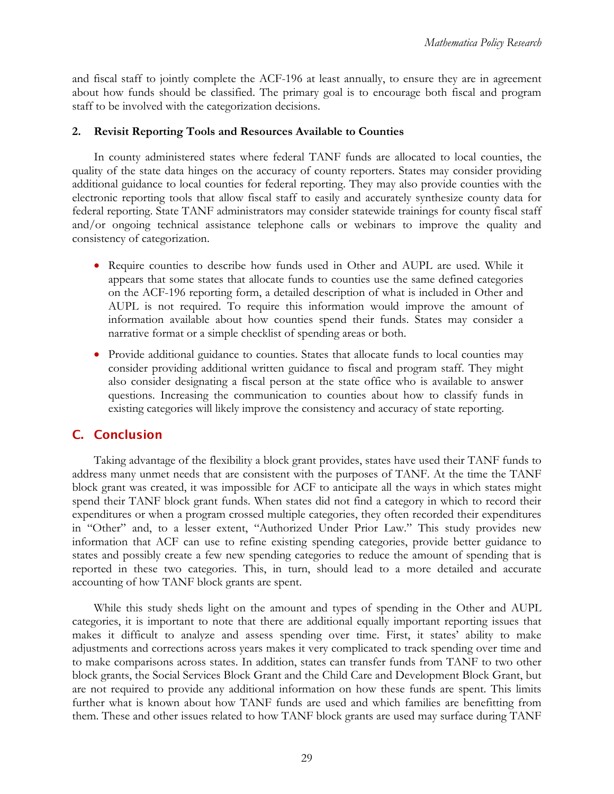<span id="page-41-0"></span>and fiscal staff to jointly complete the ACF-196 at least annually, to ensure they are in agreement about how funds should be classified. The primary goal is to encourage both fiscal and program staff to be involved with the categorization decisions.

### **2. Revisit Reporting Tools and Resources Available to Counties**

In county administered states where federal TANF funds are allocated to local counties, the quality of the state data hinges on the accuracy of county reporters. States may consider providing additional guidance to local counties for federal reporting. They may also provide counties with the electronic reporting tools that allow fiscal staff to easily and accurately synthesize county data for federal reporting. State TANF administrators may consider statewide trainings for county fiscal staff and/or ongoing technical assistance telephone calls or webinars to improve the quality and consistency of categorization.

- • Require counties to describe how funds used in Other and AUPL are used. While it appears that some states that allocate funds to counties use the same defined categories on the ACF-196 reporting form, a detailed description of what is included in Other and AUPL is not required. To require this information would improve the amount of information available about how counties spend their funds. States may consider a narrative format or a simple checklist of spending areas or both.
- Provide additional guidance to counties. States that allocate funds to local counties may consider providing additional written guidance to fiscal and program staff. They might also consider designating a fiscal person at the state office who is available to answer questions. Increasing the communication to counties about how to classify funds in existing categories will likely improve the consistency and accuracy of state reporting.

## C. Conclusion

Taking advantage of the flexibility a block grant provides, states have used their TANF funds to address many unmet needs that are consistent with the purposes of TANF. At the time the TANF block grant was created, it was impossible for ACF to anticipate all the ways in which states might spend their TANF block grant funds. When states did not find a category in which to record their expenditures or when a program crossed multiple categories, they often recorded their expenditures in "Other" and, to a lesser extent, "Authorized Under Prior Law." This study provides new information that ACF can use to refine existing spending categories, provide better guidance to states and possibly create a few new spending categories to reduce the amount of spending that is reported in these two categories. This, in turn, should lead to a more detailed and accurate accounting of how TANF block grants are spent.

While this study sheds light on the amount and types of spending in the Other and AUPL categories, it is important to note that there are additional equally important reporting issues that makes it difficult to analyze and assess spending over time. First, it states' ability to make adjustments and corrections across years makes it very complicated to track spending over time and to make comparisons across states. In addition, states can transfer funds from TANF to two other block grants, the Social Services Block Grant and the Child Care and Development Block Grant, but are not required to provide any additional information on how these funds are spent. This limits further what is known about how TANF funds are used and which families are benefitting from them. These and other issues related to how TANF block grants are used may surface during TANF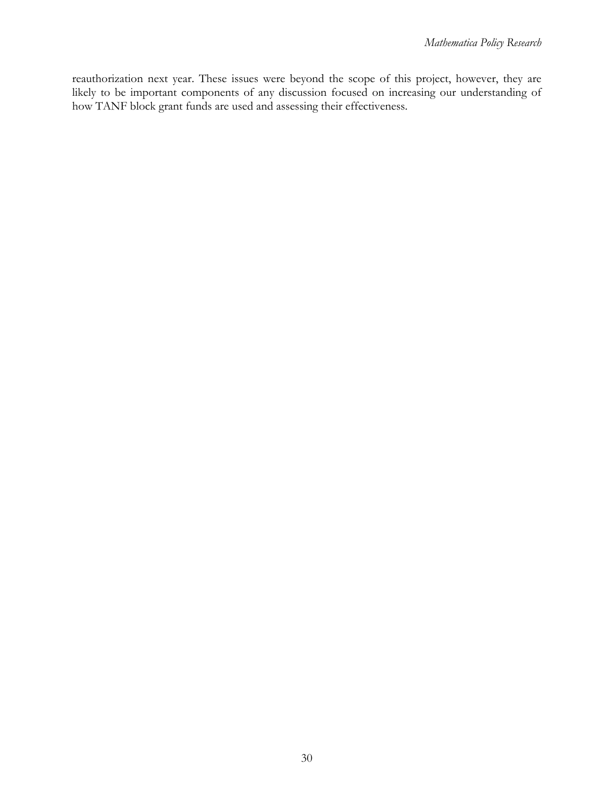reauthorization next year. These issues were beyond the scope of this project, however, they are likely to be important components of any discussion focused on increasing our understanding of how TANF block grant funds are used and assessing their effectiveness.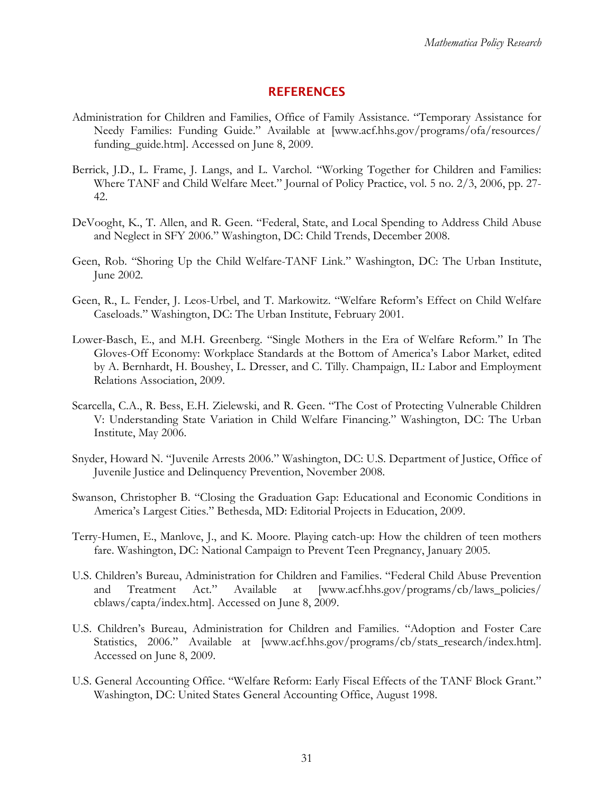### **REFERENCES**

- <span id="page-43-0"></span>Administration for Children and Families, Office of Family Assistance. "Temporary Assistance for Needy Families: Funding Guide." Available at [www.acf.hhs.gov/programs/ofa/resources/ funding\_guide.htm]. Accessed on June 8, 2009.
- Berrick, J.D., L. Frame, J. Langs, and L. Varchol. "Working Together for Children and Families: Where TANF and Child Welfare Meet." Journal of Policy Practice, vol. 5 no. 2/3, 2006, pp. 27- 42.
- DeVooght, K., T. Allen, and R. Geen. "Federal, State, and Local Spending to Address Child Abuse and Neglect in SFY 2006." Washington, DC: Child Trends, December 2008.
- Geen, Rob. "Shoring Up the Child Welfare-TANF Link." Washington, DC: The Urban Institute, June 2002.
- Geen, R., L. Fender, J. Leos-Urbel, and T. Markowitz. "Welfare Reform's Effect on Child Welfare Caseloads." Washington, DC: The Urban Institute, February 2001.
- Lower-Basch, E., and M.H. Greenberg. "Single Mothers in the Era of Welfare Reform." In The Gloves-Off Economy: Workplace Standards at the Bottom of America's Labor Market, edited by A. Bernhardt, H. Boushey, L. Dresser, and C. Tilly. Champaign, IL: Labor and Employment Relations Association, 2009.
- Scarcella, C.A., R. Bess, E.H. Zielewski, and R. Geen. "The Cost of Protecting Vulnerable Children V: Understanding State Variation in Child Welfare Financing." Washington, DC: The Urban Institute, May 2006.
- Snyder, Howard N. "Juvenile Arrests 2006." Washington, DC: U.S. Department of Justice, Office of Juvenile Justice and Delinquency Prevention, November 2008.
- Swanson, Christopher B. "Closing the Graduation Gap: Educational and Economic Conditions in America's Largest Cities." Bethesda, MD: Editorial Projects in Education, 2009.
- Terry-Humen, E., Manlove, J., and K. Moore. Playing catch-up: How the children of teen mothers fare. Washington, DC: National Campaign to Prevent Teen Pregnancy, January 2005.
- U.S. Children's Bureau, Administration for Children and Families. "Federal Child Abuse Prevention and Treatment Act." Available at [www.acf.hhs.gov/programs/cb/laws\_policies/ cblaws/capta/index.htm]. Accessed on June 8, 2009.
- U.S. Children's Bureau, Administration for Children and Families. "Adoption and Foster Care Statistics, 2006." Available at [www.acf.hhs.gov/programs/cb/stats\_research/index.htm]. Accessed on June 8, 2009.
- U.S. General Accounting Office. "Welfare Reform: Early Fiscal Effects of the TANF Block Grant." Washington, DC: United States General Accounting Office, August 1998.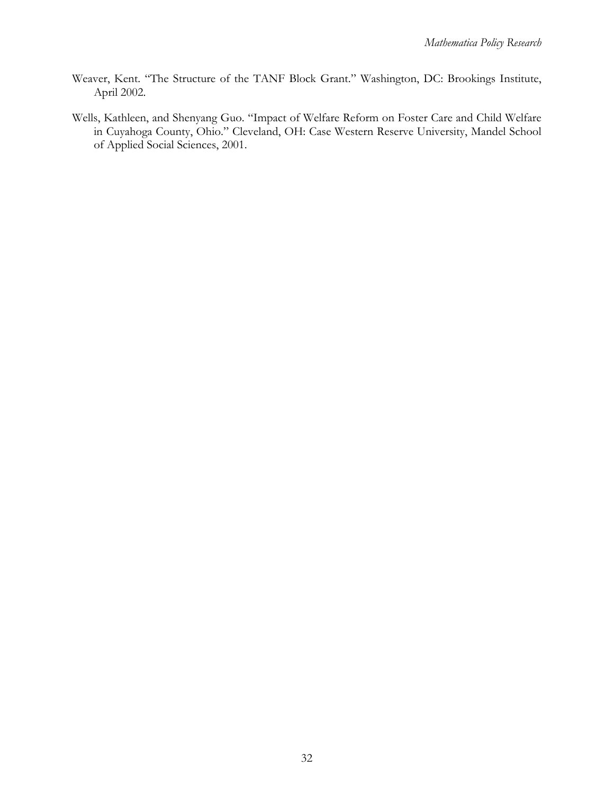- Weaver, Kent. "The Structure of the TANF Block Grant." Washington, DC: Brookings Institute, April 2002.
- Wells, Kathleen, and Shenyang Guo. "Impact of Welfare Reform on Foster Care and Child Welfare in Cuyahoga County, Ohio." Cleveland, OH: Case Western Reserve University, Mandel School of Applied Social Sciences, 2001.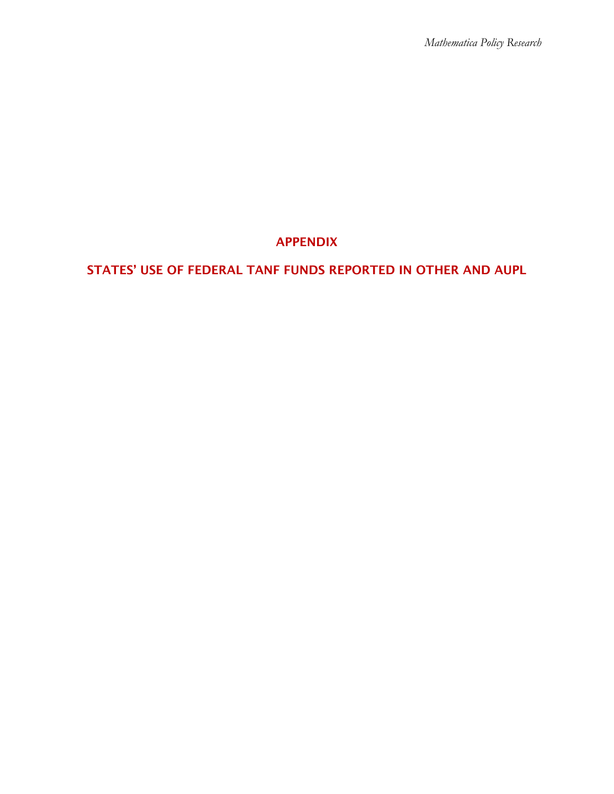# APPENDIX

# STATES' USE OF FEDERAL TANF FUNDS REPORTED IN OTHER AND AUPL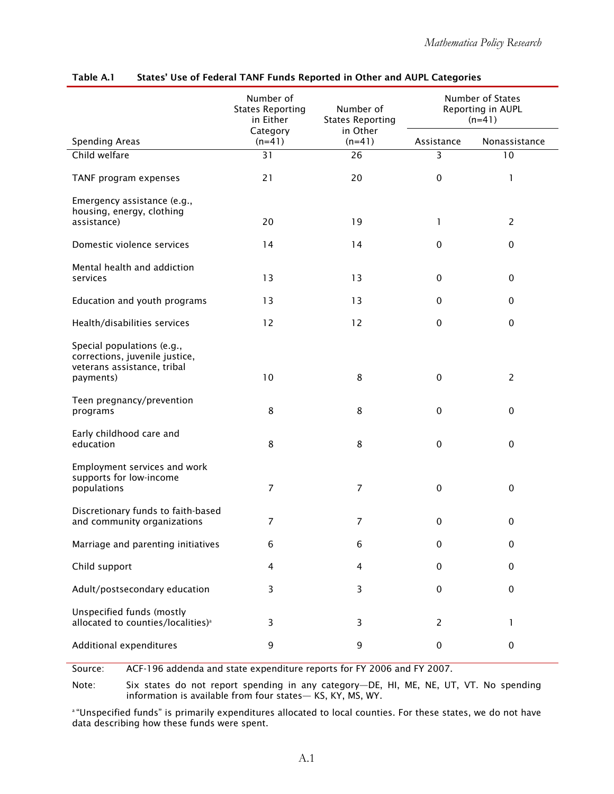|                                                                                                          | Number of<br><b>States Reporting</b><br>in Either | Number of<br><b>States Reporting</b> | Number of States<br>Reporting in AUPL<br>$(n=41)$ |                |
|----------------------------------------------------------------------------------------------------------|---------------------------------------------------|--------------------------------------|---------------------------------------------------|----------------|
| <b>Spending Areas</b>                                                                                    | Category<br>$(n=41)$                              | in Other<br>$(n=41)$                 | Assistance                                        | Nonassistance  |
| Child welfare                                                                                            | 31                                                | 26                                   | 3                                                 | 10             |
| TANF program expenses                                                                                    | 21                                                | 20                                   | $\pmb{0}$                                         | 1              |
| Emergency assistance (e.g.,<br>housing, energy, clothing<br>assistance)                                  | 20                                                | 19                                   | 1                                                 | $\overline{2}$ |
| Domestic violence services                                                                               | 14                                                | 14                                   | 0                                                 | $\pmb{0}$      |
| Mental health and addiction<br>services                                                                  | 13                                                | 13                                   | 0                                                 | 0              |
| Education and youth programs                                                                             | 13                                                | 13                                   | 0                                                 | 0              |
| Health/disabilities services                                                                             | 12                                                | 12                                   | 0                                                 | $\pmb{0}$      |
| Special populations (e.g.,<br>corrections, juvenile justice,<br>veterans assistance, tribal<br>payments) | 10                                                | 8                                    | 0                                                 | $\overline{2}$ |
| Teen pregnancy/prevention<br>programs                                                                    | 8                                                 | 8                                    | 0                                                 | 0              |
| Early childhood care and<br>education                                                                    | 8                                                 | 8                                    | 0                                                 | 0              |
| Employment services and work<br>supports for low-income<br>populations                                   | $\overline{7}$                                    | $\overline{7}$                       | $\pmb{0}$                                         | $\pmb{0}$      |
| Discretionary funds to faith-based<br>and community organizations                                        | $\overline{7}$                                    | 7                                    | $\pmb{0}$                                         | $\pmb{0}$      |
| Marriage and parenting initiatives                                                                       | 6                                                 | 6                                    | 0                                                 | 0              |
| Child support                                                                                            | $\overline{4}$                                    | 4                                    | 0                                                 | $\pmb{0}$      |
| Adult/postsecondary education                                                                            | 3                                                 | 3                                    | 0                                                 | 0              |
| Unspecified funds (mostly<br>allocated to counties/localities) <sup>a</sup>                              | 3                                                 | 3                                    | $\overline{c}$                                    | 1              |
| Additional expenditures                                                                                  | 9                                                 | 9                                    | 0                                                 | 0              |

#### Table A.1 States' Use of Federal TANF Funds Reported in Other and AUPL Categories

Source: ACF-196 addenda and state expenditure reports for FY 2006 and FY 2007.

Note: Six states do not report spending in any category—DE, HI, ME, NE, UT, VT. No spending information is available from four states— KS, KY, MS, WY.

 a "Unspecified funds" is primarily expenditures allocated to local counties. For these states, we do not have data describing how these funds were spent.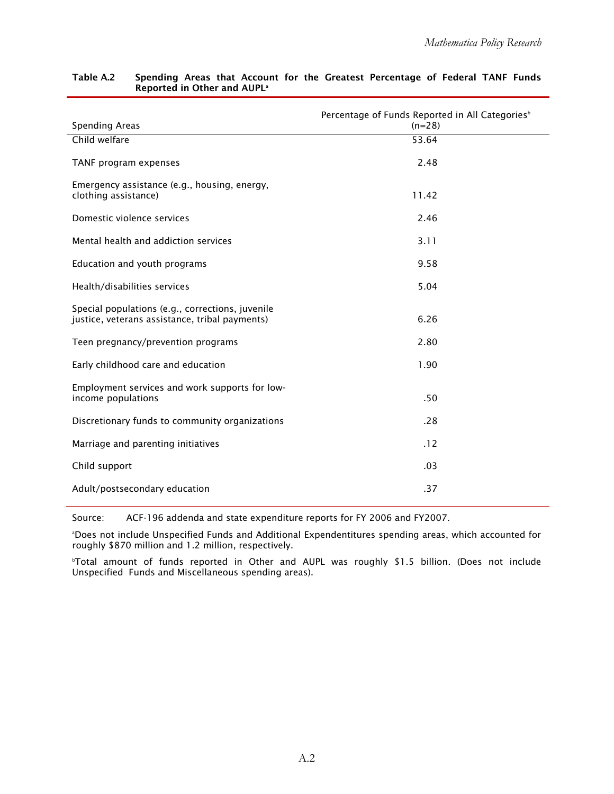| <b>Spending Areas</b>                                                                              | Percentage of Funds Reported in All Categories <sup>b</sup><br>$(n=28)$ |
|----------------------------------------------------------------------------------------------------|-------------------------------------------------------------------------|
| Child welfare                                                                                      | 53.64                                                                   |
|                                                                                                    |                                                                         |
| TANF program expenses                                                                              | 2.48                                                                    |
| Emergency assistance (e.g., housing, energy,<br>clothing assistance)                               | 11.42                                                                   |
|                                                                                                    |                                                                         |
| Domestic violence services                                                                         | 2.46                                                                    |
| Mental health and addiction services                                                               | 3.11                                                                    |
| Education and youth programs                                                                       | 9.58                                                                    |
| Health/disabilities services                                                                       | 5.04                                                                    |
| Special populations (e.g., corrections, juvenile<br>justice, veterans assistance, tribal payments) | 6.26                                                                    |
|                                                                                                    |                                                                         |
| Teen pregnancy/prevention programs                                                                 | 2.80                                                                    |
| Early childhood care and education                                                                 | 1.90                                                                    |
| Employment services and work supports for low-                                                     |                                                                         |
| income populations                                                                                 | .50                                                                     |
| Discretionary funds to community organizations                                                     | .28                                                                     |
| Marriage and parenting initiatives                                                                 | .12                                                                     |
| Child support                                                                                      | .03                                                                     |
| Adult/postsecondary education                                                                      | .37                                                                     |
|                                                                                                    |                                                                         |

#### Table A.2 Spending Areas that Account for the Greatest Percentage of Federal TANF Funds Reported in Other and AUPL<sup>a</sup>

Source: ACF-196 addenda and state expenditure reports for FY 2006 and FY2007.

 a Does not include Unspecified Funds and Additional Expendentitures spending areas, which accounted for roughly \$870 million and 1.2 million, respectively.

b Total amount of funds reported in Other and AUPL was roughly \$1.5 billion. (Does not include Unspecified Funds and Miscellaneous spending areas).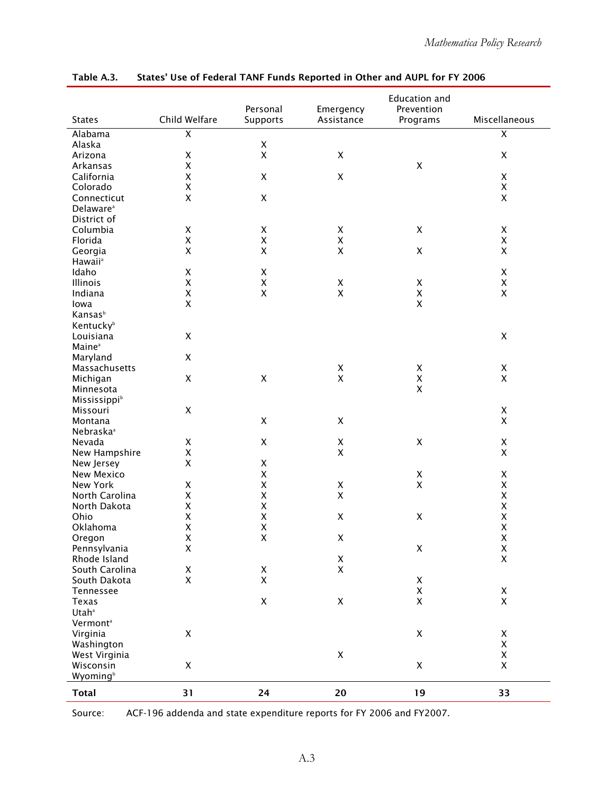|                                      |                                          |                                          |                         | <b>Education and</b>   |                         |
|--------------------------------------|------------------------------------------|------------------------------------------|-------------------------|------------------------|-------------------------|
| <b>States</b>                        | Child Welfare                            | Personal<br>Supports                     | Emergency<br>Assistance | Prevention<br>Programs | Miscellaneous           |
|                                      | $\overline{\mathsf{x}}$                  |                                          |                         |                        | $\overline{\mathsf{x}}$ |
| Alabama<br>Alaska                    |                                          | $\pmb{\mathsf{X}}$                       |                         |                        |                         |
| Arizona                              | $\pmb{\mathsf{X}}$                       | $\pmb{\mathsf{X}}$                       | $\pmb{\mathsf{X}}$      |                        | $\pmb{\times}$          |
| Arkansas                             | $\pmb{\mathsf{X}}$                       |                                          |                         | $\pmb{\mathsf{X}}$     |                         |
| California                           | $\pmb{\mathsf{X}}$                       | $\mathsf X$                              | $\pmb{\mathsf{X}}$      |                        | $\pmb{\times}$          |
| Colorado                             | $\pmb{\mathsf{X}}$                       |                                          |                         |                        | $\pmb{\times}$          |
|                                      | $\pmb{\mathsf{X}}$                       | $\pmb{\mathsf{X}}$                       |                         |                        | $\mathsf{X}$            |
| Connecticut                          |                                          |                                          |                         |                        |                         |
| Delaware <sup>a</sup><br>District of |                                          |                                          |                         |                        |                         |
| Columbia                             |                                          |                                          |                         | $\pmb{\mathsf{X}}$     | $\pmb{\mathsf{X}}$      |
|                                      | $\pmb{\mathsf{X}}$<br>$\pmb{\mathsf{X}}$ | $\pmb{\mathsf{X}}$<br>$\pmb{\mathsf{X}}$ | X<br>$\pmb{\mathsf{X}}$ |                        | $\pmb{\mathsf{X}}$      |
| Florida                              | $\pmb{\mathsf{X}}$                       | $\pmb{\mathsf{X}}$                       | X                       | $\pmb{\mathsf{X}}$     | $\pmb{\times}$          |
| Georgia                              |                                          |                                          |                         |                        |                         |
| <b>Hawaii</b> <sup>a</sup>           |                                          |                                          |                         |                        |                         |
| Idaho                                | $\pmb{\mathsf{X}}$                       | $\pmb{\mathsf{X}}$                       |                         |                        | $\pmb{\mathsf{X}}$      |
| Illinois                             | $\pmb{\mathsf{X}}$                       | $\pmb{\mathsf{X}}$                       | $\pmb{\mathsf{X}}$      | X                      | $\pmb{\mathsf{X}}$      |
| Indiana                              | $\pmb{\mathsf{X}}$                       | $\pmb{\mathsf{X}}$                       | X                       | $\pmb{\mathsf{X}}$     | $\pmb{\mathsf{X}}$      |
| lowa                                 | $\pmb{\chi}$                             |                                          |                         | $\pmb{\mathsf{X}}$     |                         |
| <b>Kansas</b> b                      |                                          |                                          |                         |                        |                         |
| Kentucky <sup>b</sup>                |                                          |                                          |                         |                        |                         |
| Louisiana                            | $\mathsf X$                              |                                          |                         |                        | $\pmb{\mathsf{X}}$      |
| Maine <sup>a</sup>                   |                                          |                                          |                         |                        |                         |
| Maryland                             | $\pmb{\times}$                           |                                          |                         |                        |                         |
| Massachusetts                        |                                          |                                          | $\pmb{\mathsf{X}}$      | $\pmb{\mathsf{X}}$     | $\mathsf{X}$            |
| Michigan                             | $\pmb{\mathsf{X}}$                       | $\pmb{\mathsf{X}}$                       | $\pmb{\mathsf{X}}$      | $\mathsf{X}$           | $\mathsf{X}$            |
| Minnesota                            |                                          |                                          |                         | $\pmb{\chi}$           |                         |
| <b>Mississippi</b> b                 |                                          |                                          |                         |                        |                         |
| Missouri                             | $\pmb{\mathsf{X}}$                       |                                          |                         |                        | $\mathsf X$             |
| Montana                              |                                          | $\pmb{\mathsf{X}}$                       | $\pmb{\mathsf{X}}$      |                        | $\mathsf{X}$            |
| Nebraska <sup>a</sup>                |                                          |                                          |                         |                        |                         |
| Nevada                               | X                                        | $\pmb{\mathsf{X}}$                       | $\pmb{\mathsf{X}}$      | $\mathsf X$            | $\mathsf X$             |
| New Hampshire                        | $\pmb{\mathsf{X}}$                       |                                          | $\pmb{\mathsf{X}}$      |                        | X                       |
| New Jersey                           | $\pmb{\chi}$                             | $\mathsf X$                              |                         |                        |                         |
| New Mexico                           |                                          | X                                        |                         | $\mathsf X$            | X                       |
| New York                             | $\mathsf X$                              | $\pmb{\mathsf{X}}$                       | $\mathsf X$             | $\pmb{\mathsf{X}}$     | $\pmb{\times}$          |
| North Carolina                       | $\pmb{\mathsf{X}}$                       | $\pmb{\mathsf{X}}$                       | $\pmb{\chi}$            |                        | $\pmb{\times}$          |
| North Dakota                         | $\pmb{\mathsf{X}}$                       | $\pmb{\mathsf{X}}$                       |                         |                        | $\pmb{\mathsf{X}}$      |
| Ohio                                 | $\pmb{\mathsf{X}}$                       | X                                        | $\pmb{\mathsf{X}}$      | $\pmb{\mathsf{X}}$     | $\pmb{\mathsf{X}}$      |
| Oklahoma                             | $\pmb{\mathsf{X}}$                       | $\pmb{\mathsf{X}}$                       |                         |                        | X                       |
| Oregon                               | $\pmb{\mathsf{X}}$                       | X                                        | Χ                       |                        | X                       |
| Pennsylvania                         | $\pmb{\mathsf{X}}$                       |                                          |                         | $\pmb{\mathsf{X}}$     | $_{\rm X}^{\rm X}$      |
| Rhode Island                         |                                          |                                          | X                       |                        |                         |
| South Carolina                       | X                                        | X                                        | X                       |                        |                         |
| South Dakota                         | $\pmb{\mathsf{X}}$                       | $\pmb{\mathsf{X}}$                       |                         | $\mathsf X$            |                         |
| Tennessee                            |                                          |                                          |                         | $\pmb{\mathsf{X}}$     | $\pmb{\mathsf{X}}$      |
| Texas                                |                                          | $\pmb{\mathsf{X}}$                       | $\pmb{\mathsf{X}}$      | $\pmb{\mathsf{X}}$     | $\mathsf{X}$            |
| Utah <sup>a</sup>                    |                                          |                                          |                         |                        |                         |
| Vermont <sup>a</sup>                 |                                          |                                          |                         |                        |                         |
| Virginia                             | $\pmb{\mathsf{X}}$                       |                                          |                         | $\pmb{\mathsf{X}}$     | $\mathsf X$             |
| Washington                           |                                          |                                          |                         |                        | $\mathsf X$             |
| West Virginia                        |                                          |                                          | $\pmb{\mathsf{X}}$      |                        | $\mathsf X$             |
| Wisconsin                            | $\mathsf X$                              |                                          |                         | $\mathsf X$            | $\mathsf{X}$            |
| Wyoming <sup>b</sup>                 |                                          |                                          |                         |                        |                         |
| <b>Total</b>                         | 31                                       | 24                                       | 20                      | 19                     | 33                      |

Table A.3. States' Use of Federal TANF Funds Reported in Other and AUPL for FY 2006

Source: ACF-196 addenda and state expenditure reports for FY 2006 and FY2007.